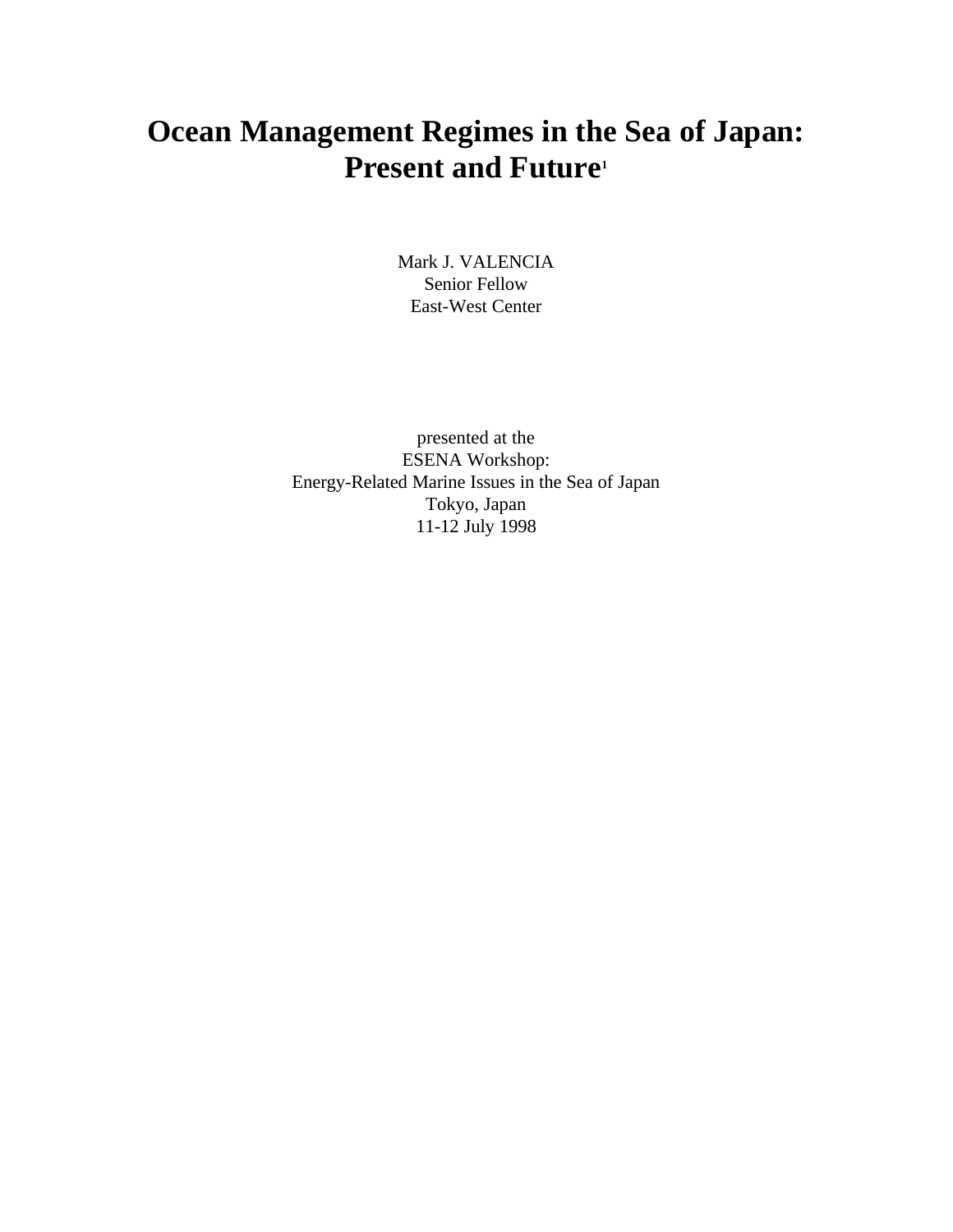# **Ocean Management Regimes in the Sea of Japan: Present and Future<sup>1</sup>**

Mark J. VALENCIA Senior Fellow East-West Center

presented at the ESENA Workshop: Energy-Related Marine Issues in the Sea of Japan Tokyo, Japan 11-12 July 1998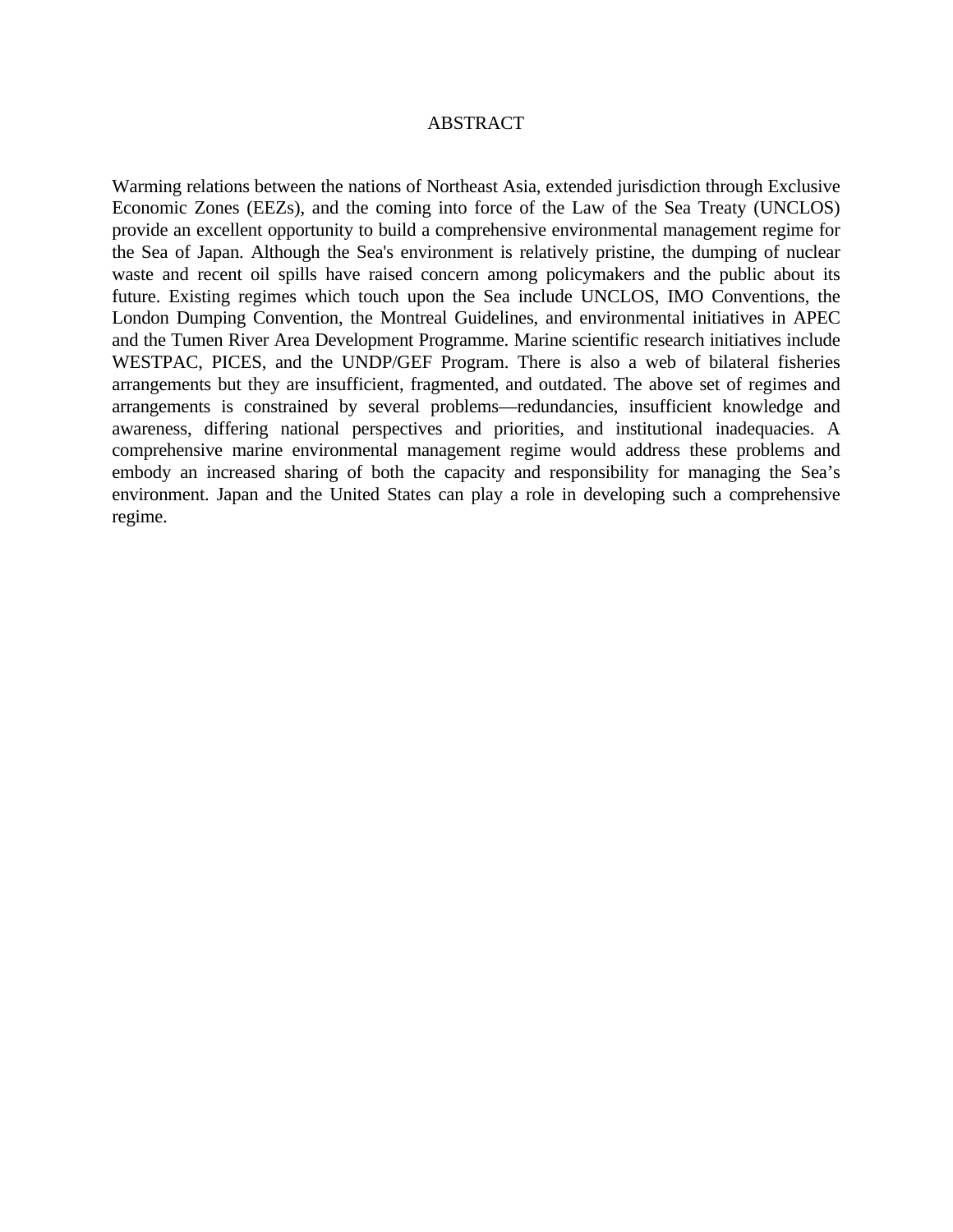#### ABSTRACT

Warming relations between the nations of Northeast Asia, extended jurisdiction through Exclusive Economic Zones (EEZs), and the coming into force of the Law of the Sea Treaty (UNCLOS) provide an excellent opportunity to build a comprehensive environmental management regime for the Sea of Japan. Although the Sea's environment is relatively pristine, the dumping of nuclear waste and recent oil spills have raised concern among policymakers and the public about its future. Existing regimes which touch upon the Sea include UNCLOS, IMO Conventions, the London Dumping Convention, the Montreal Guidelines, and environmental initiatives in APEC and the Tumen River Area Development Programme. Marine scientific research initiatives include WESTPAC, PICES, and the UNDP/GEF Program. There is also a web of bilateral fisheries arrangements but they are insufficient, fragmented, and outdated. The above set of regimes and arrangements is constrained by several problems—redundancies, insufficient knowledge and awareness, differing national perspectives and priorities, and institutional inadequacies. A comprehensive marine environmental management regime would address these problems and embody an increased sharing of both the capacity and responsibility for managing the Sea's environment. Japan and the United States can play a role in developing such a comprehensive regime.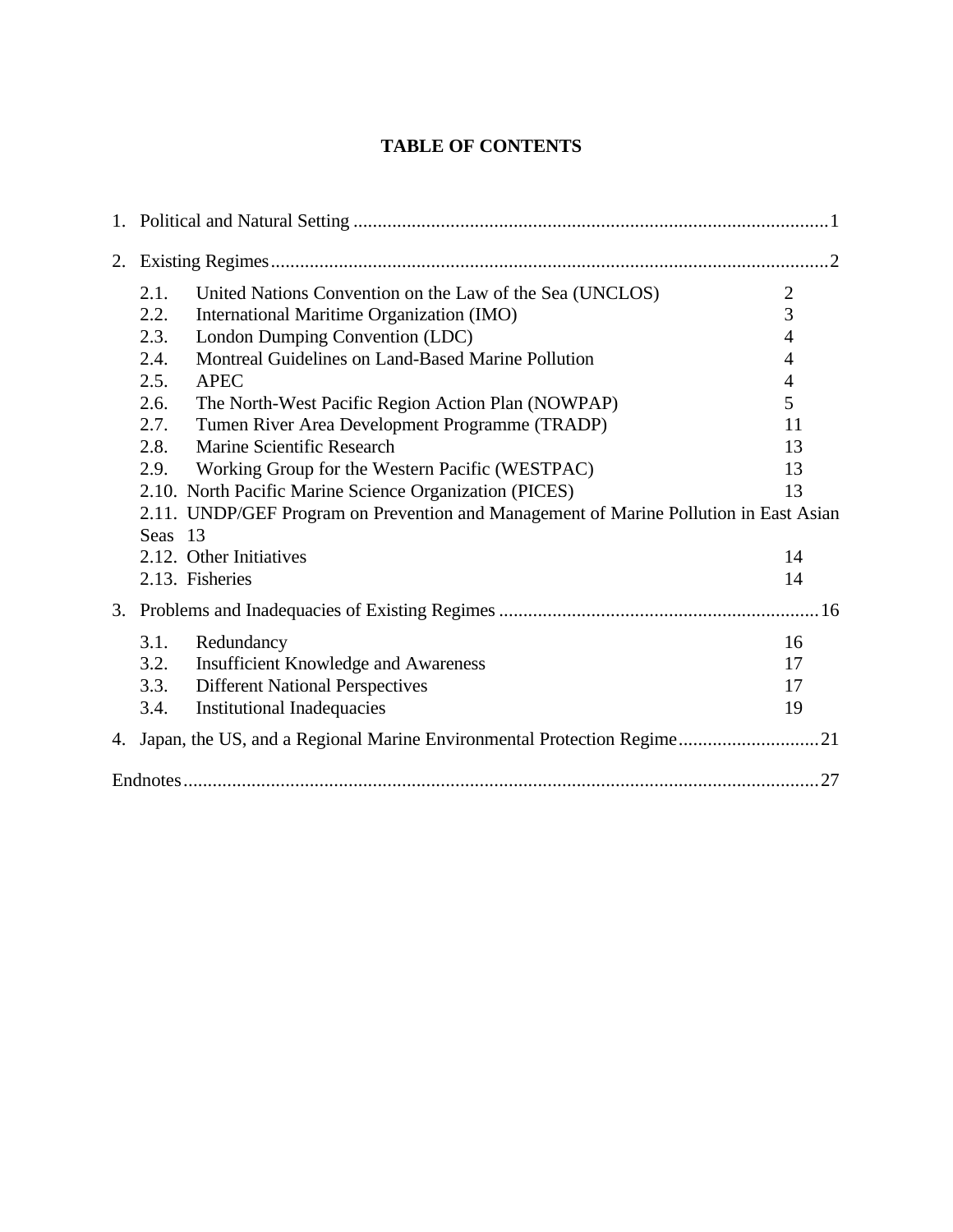## **TABLE OF CONTENTS**

| 2. |                                                                                       |                |
|----|---------------------------------------------------------------------------------------|----------------|
|    | United Nations Convention on the Law of the Sea (UNCLOS)<br>2.1.                      | $\mathfrak{2}$ |
|    | International Maritime Organization (IMO)<br>2.2.                                     | 3              |
|    | London Dumping Convention (LDC)<br>2.3.                                               | 4              |
|    | Montreal Guidelines on Land-Based Marine Pollution<br>2.4.                            | 4              |
|    | 2.5.<br><b>APEC</b>                                                                   | 4              |
|    | 2.6.<br>The North-West Pacific Region Action Plan (NOWPAP)                            | 5              |
|    | Tumen River Area Development Programme (TRADP)<br>2.7.                                | 11             |
|    | Marine Scientific Research<br>2.8.                                                    | 13             |
|    | Working Group for the Western Pacific (WESTPAC)<br>2.9.                               | 13             |
|    | 2.10. North Pacific Marine Science Organization (PICES)                               | 13             |
|    | 2.11. UNDP/GEF Program on Prevention and Management of Marine Pollution in East Asian |                |
|    | Seas 13                                                                               |                |
|    | 2.12. Other Initiatives                                                               | 14             |
|    | 2.13. Fisheries                                                                       | 14             |
|    |                                                                                       |                |
|    | 3.1.<br>Redundancy                                                                    | 16             |
|    | 3.2.<br><b>Insufficient Knowledge and Awareness</b>                                   | 17             |
|    | <b>Different National Perspectives</b><br>3.3.                                        | 17             |
|    | <b>Institutional Inadequacies</b><br>3.4.                                             | 19             |
| 4. | Japan, the US, and a Regional Marine Environmental Protection Regime21                |                |
|    |                                                                                       |                |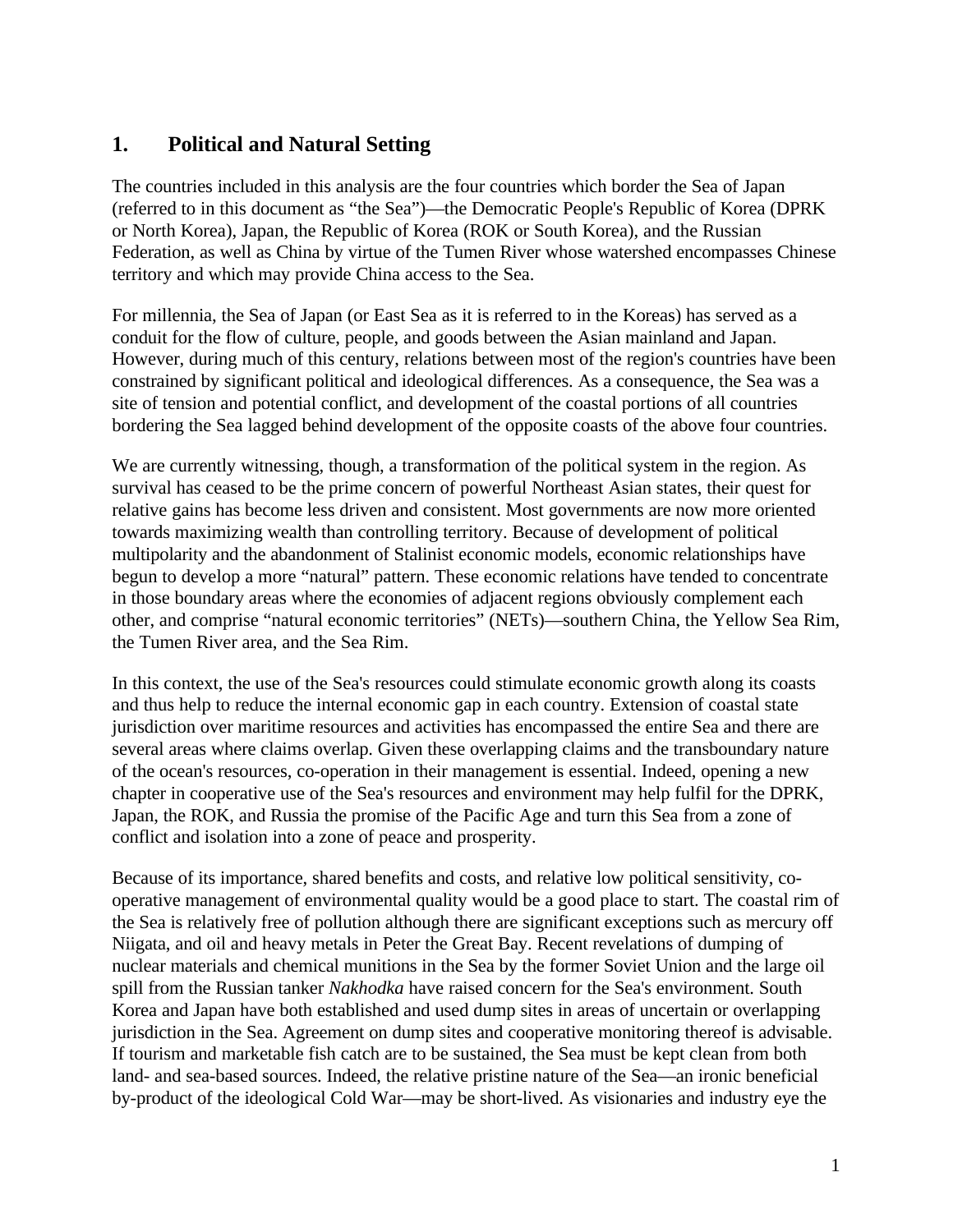# **1. Political and Natural Setting**

The countries included in this analysis are the four countries which border the Sea of Japan (referred to in this document as "the Sea")—the Democratic People's Republic of Korea (DPRK or North Korea), Japan, the Republic of Korea (ROK or South Korea), and the Russian Federation, as well as China by virtue of the Tumen River whose watershed encompasses Chinese territory and which may provide China access to the Sea.

For millennia, the Sea of Japan (or East Sea as it is referred to in the Koreas) has served as a conduit for the flow of culture, people, and goods between the Asian mainland and Japan. However, during much of this century, relations between most of the region's countries have been constrained by significant political and ideological differences. As a consequence, the Sea was a site of tension and potential conflict, and development of the coastal portions of all countries bordering the Sea lagged behind development of the opposite coasts of the above four countries.

We are currently witnessing, though, a transformation of the political system in the region. As survival has ceased to be the prime concern of powerful Northeast Asian states, their quest for relative gains has become less driven and consistent. Most governments are now more oriented towards maximizing wealth than controlling territory. Because of development of political multipolarity and the abandonment of Stalinist economic models, economic relationships have begun to develop a more "natural" pattern. These economic relations have tended to concentrate in those boundary areas where the economies of adjacent regions obviously complement each other, and comprise "natural economic territories" (NETs)—southern China, the Yellow Sea Rim, the Tumen River area, and the Sea Rim.

In this context, the use of the Sea's resources could stimulate economic growth along its coasts and thus help to reduce the internal economic gap in each country. Extension of coastal state jurisdiction over maritime resources and activities has encompassed the entire Sea and there are several areas where claims overlap. Given these overlapping claims and the transboundary nature of the ocean's resources, co-operation in their management is essential. Indeed, opening a new chapter in cooperative use of the Sea's resources and environment may help fulfil for the DPRK, Japan, the ROK, and Russia the promise of the Pacific Age and turn this Sea from a zone of conflict and isolation into a zone of peace and prosperity.

Because of its importance, shared benefits and costs, and relative low political sensitivity, cooperative management of environmental quality would be a good place to start. The coastal rim of the Sea is relatively free of pollution although there are significant exceptions such as mercury off Niigata, and oil and heavy metals in Peter the Great Bay. Recent revelations of dumping of nuclear materials and chemical munitions in the Sea by the former Soviet Union and the large oil spill from the Russian tanker *Nakhodka* have raised concern for the Sea's environment. South Korea and Japan have both established and used dump sites in areas of uncertain or overlapping jurisdiction in the Sea. Agreement on dump sites and cooperative monitoring thereof is advisable. If tourism and marketable fish catch are to be sustained, the Sea must be kept clean from both land- and sea-based sources. Indeed, the relative pristine nature of the Sea—an ironic beneficial by-product of the ideological Cold War—may be short-lived. As visionaries and industry eye the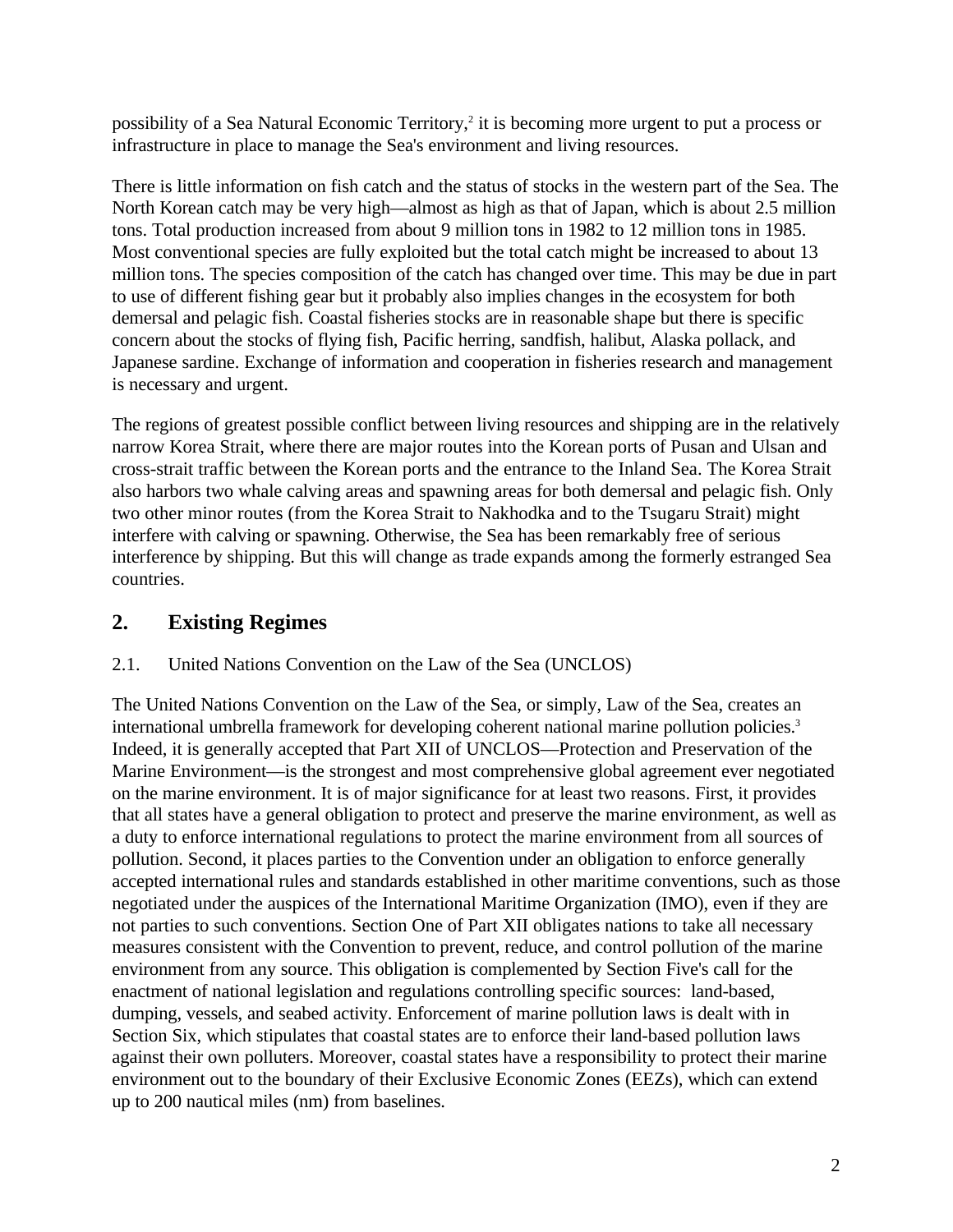possibility of a Sea Natural Economic Territory,<sup>2</sup> it is becoming more urgent to put a process or infrastructure in place to manage the Sea's environment and living resources.

There is little information on fish catch and the status of stocks in the western part of the Sea. The North Korean catch may be very high—almost as high as that of Japan, which is about 2.5 million tons. Total production increased from about 9 million tons in 1982 to 12 million tons in 1985. Most conventional species are fully exploited but the total catch might be increased to about 13 million tons. The species composition of the catch has changed over time. This may be due in part to use of different fishing gear but it probably also implies changes in the ecosystem for both demersal and pelagic fish. Coastal fisheries stocks are in reasonable shape but there is specific concern about the stocks of flying fish, Pacific herring, sandfish, halibut, Alaska pollack, and Japanese sardine. Exchange of information and cooperation in fisheries research and management is necessary and urgent.

The regions of greatest possible conflict between living resources and shipping are in the relatively narrow Korea Strait, where there are major routes into the Korean ports of Pusan and Ulsan and cross-strait traffic between the Korean ports and the entrance to the Inland Sea. The Korea Strait also harbors two whale calving areas and spawning areas for both demersal and pelagic fish. Only two other minor routes (from the Korea Strait to Nakhodka and to the Tsugaru Strait) might interfere with calving or spawning. Otherwise, the Sea has been remarkably free of serious interference by shipping. But this will change as trade expands among the formerly estranged Sea countries.

# **2. Existing Regimes**

## 2.1. United Nations Convention on the Law of the Sea (UNCLOS)

The United Nations Convention on the Law of the Sea, or simply, Law of the Sea, creates an international umbrella framework for developing coherent national marine pollution policies.<sup>3</sup> Indeed, it is generally accepted that Part XII of UNCLOS—Protection and Preservation of the Marine Environment—is the strongest and most comprehensive global agreement ever negotiated on the marine environment. It is of major significance for at least two reasons. First, it provides that all states have a general obligation to protect and preserve the marine environment, as well as a duty to enforce international regulations to protect the marine environment from all sources of pollution. Second, it places parties to the Convention under an obligation to enforce generally accepted international rules and standards established in other maritime conventions, such as those negotiated under the auspices of the International Maritime Organization (IMO), even if they are not parties to such conventions. Section One of Part XII obligates nations to take all necessary measures consistent with the Convention to prevent, reduce, and control pollution of the marine environment from any source. This obligation is complemented by Section Five's call for the enactment of national legislation and regulations controlling specific sources: land-based, dumping, vessels, and seabed activity. Enforcement of marine pollution laws is dealt with in Section Six, which stipulates that coastal states are to enforce their land-based pollution laws against their own polluters. Moreover, coastal states have a responsibility to protect their marine environment out to the boundary of their Exclusive Economic Zones (EEZs), which can extend up to 200 nautical miles (nm) from baselines.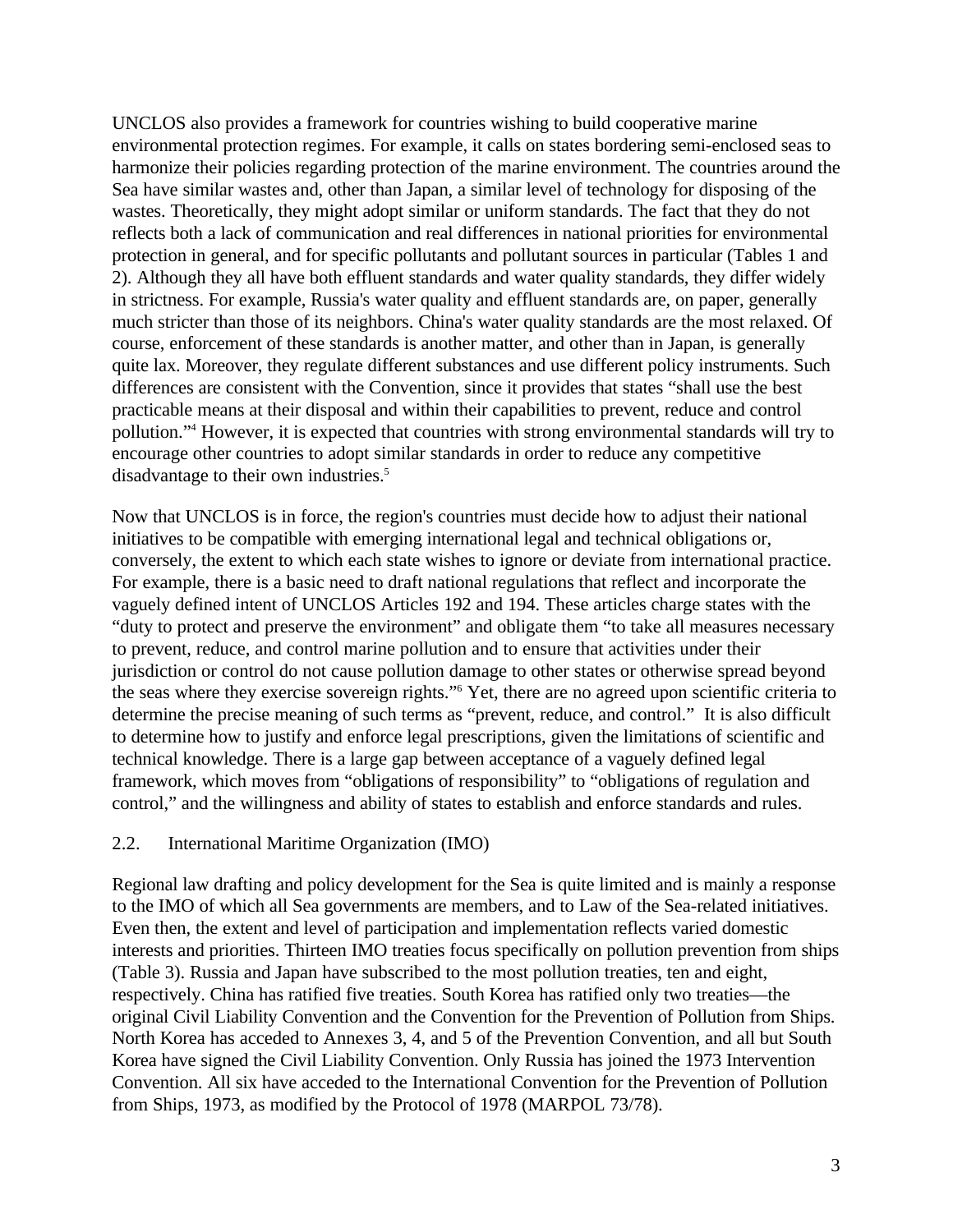UNCLOS also provides a framework for countries wishing to build cooperative marine environmental protection regimes. For example, it calls on states bordering semi-enclosed seas to harmonize their policies regarding protection of the marine environment. The countries around the Sea have similar wastes and, other than Japan, a similar level of technology for disposing of the wastes. Theoretically, they might adopt similar or uniform standards. The fact that they do not reflects both a lack of communication and real differences in national priorities for environmental protection in general, and for specific pollutants and pollutant sources in particular (Tables 1 and 2). Although they all have both effluent standards and water quality standards, they differ widely in strictness. For example, Russia's water quality and effluent standards are, on paper, generally much stricter than those of its neighbors. China's water quality standards are the most relaxed. Of course, enforcement of these standards is another matter, and other than in Japan, is generally quite lax. Moreover, they regulate different substances and use different policy instruments. Such differences are consistent with the Convention, since it provides that states "shall use the best practicable means at their disposal and within their capabilities to prevent, reduce and control pollution."<sup>4</sup> However, it is expected that countries with strong environmental standards will try to encourage other countries to adopt similar standards in order to reduce any competitive disadvantage to their own industries.<sup>5</sup>

Now that UNCLOS is in force, the region's countries must decide how to adjust their national initiatives to be compatible with emerging international legal and technical obligations or, conversely, the extent to which each state wishes to ignore or deviate from international practice. For example, there is a basic need to draft national regulations that reflect and incorporate the vaguely defined intent of UNCLOS Articles 192 and 194. These articles charge states with the "duty to protect and preserve the environment" and obligate them "to take all measures necessary to prevent, reduce, and control marine pollution and to ensure that activities under their jurisdiction or control do not cause pollution damage to other states or otherwise spread beyond the seas where they exercise sovereign rights."<sup>6</sup> Yet, there are no agreed upon scientific criteria to determine the precise meaning of such terms as "prevent, reduce, and control." It is also difficult to determine how to justify and enforce legal prescriptions, given the limitations of scientific and technical knowledge. There is a large gap between acceptance of a vaguely defined legal framework, which moves from "obligations of responsibility" to "obligations of regulation and control," and the willingness and ability of states to establish and enforce standards and rules.

## 2.2. International Maritime Organization (IMO)

Regional law drafting and policy development for the Sea is quite limited and is mainly a response to the IMO of which all Sea governments are members, and to Law of the Sea-related initiatives. Even then, the extent and level of participation and implementation reflects varied domestic interests and priorities. Thirteen IMO treaties focus specifically on pollution prevention from ships (Table 3). Russia and Japan have subscribed to the most pollution treaties, ten and eight, respectively. China has ratified five treaties. South Korea has ratified only two treaties—the original Civil Liability Convention and the Convention for the Prevention of Pollution from Ships. North Korea has acceded to Annexes 3, 4, and 5 of the Prevention Convention, and all but South Korea have signed the Civil Liability Convention. Only Russia has joined the 1973 Intervention Convention. All six have acceded to the International Convention for the Prevention of Pollution from Ships, 1973, as modified by the Protocol of 1978 (MARPOL 73/78).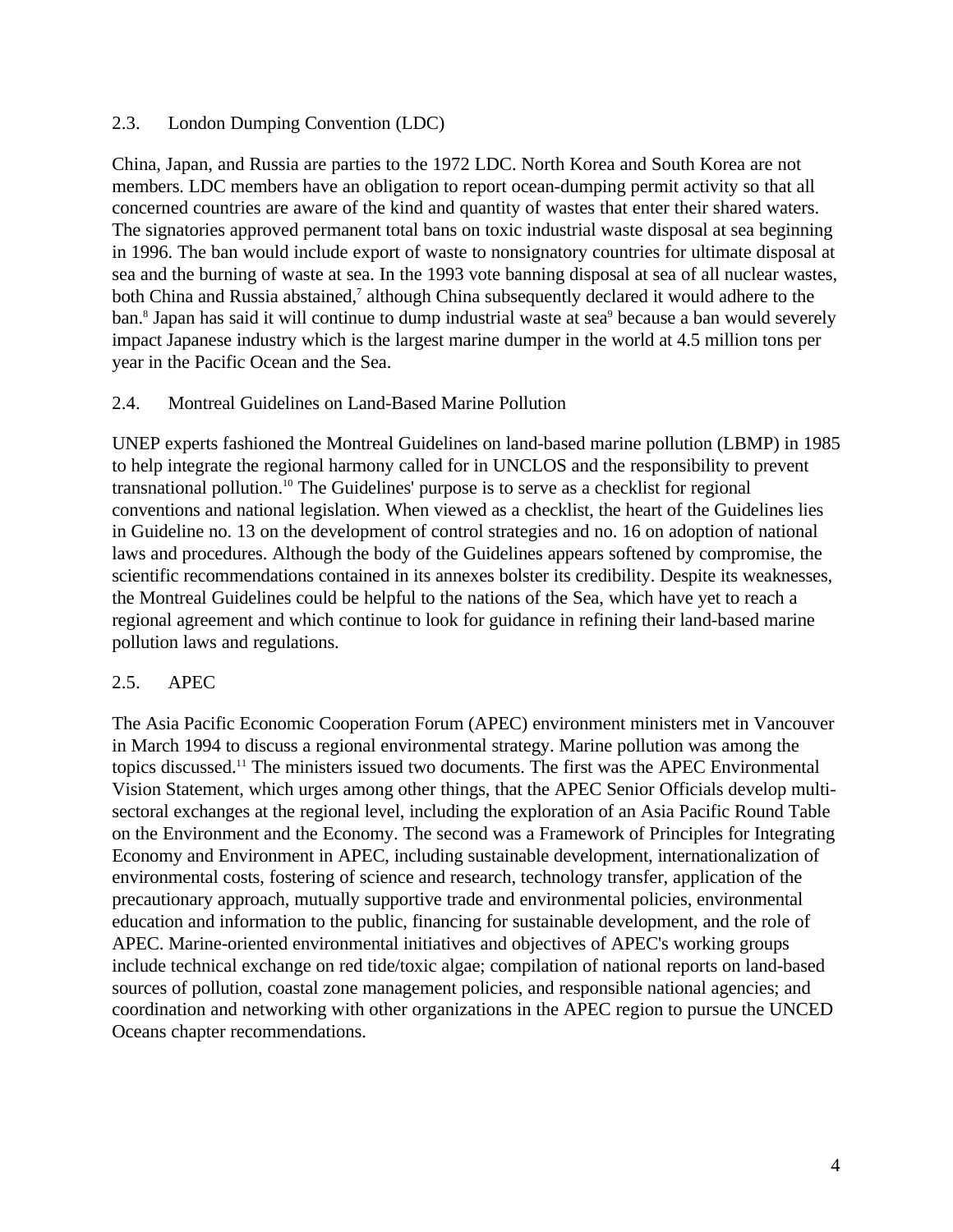#### 2.3. London Dumping Convention (LDC)

China, Japan, and Russia are parties to the 1972 LDC. North Korea and South Korea are not members. LDC members have an obligation to report ocean-dumping permit activity so that all concerned countries are aware of the kind and quantity of wastes that enter their shared waters. The signatories approved permanent total bans on toxic industrial waste disposal at sea beginning in 1996. The ban would include export of waste to nonsignatory countries for ultimate disposal at sea and the burning of waste at sea. In the 1993 vote banning disposal at sea of all nuclear wastes, both China and Russia abstained,<sup>7</sup> although China subsequently declared it would adhere to the ban.<sup>8</sup> Japan has said it will continue to dump industrial waste at sea<sup>9</sup> because a ban would severely impact Japanese industry which is the largest marine dumper in the world at 4.5 million tons per year in the Pacific Ocean and the Sea.

#### 2.4. Montreal Guidelines on Land-Based Marine Pollution

UNEP experts fashioned the Montreal Guidelines on land-based marine pollution (LBMP) in 1985 to help integrate the regional harmony called for in UNCLOS and the responsibility to prevent transnational pollution.<sup>10</sup> The Guidelines' purpose is to serve as a checklist for regional conventions and national legislation. When viewed as a checklist, the heart of the Guidelines lies in Guideline no. 13 on the development of control strategies and no. 16 on adoption of national laws and procedures. Although the body of the Guidelines appears softened by compromise, the scientific recommendations contained in its annexes bolster its credibility. Despite its weaknesses, the Montreal Guidelines could be helpful to the nations of the Sea, which have yet to reach a regional agreement and which continue to look for guidance in refining their land-based marine pollution laws and regulations.

## 2.5. APEC

The Asia Pacific Economic Cooperation Forum (APEC) environment ministers met in Vancouver in March 1994 to discuss a regional environmental strategy. Marine pollution was among the topics discussed.<sup>11</sup> The ministers issued two documents. The first was the APEC Environmental Vision Statement, which urges among other things, that the APEC Senior Officials develop multisectoral exchanges at the regional level, including the exploration of an Asia Pacific Round Table on the Environment and the Economy. The second was a Framework of Principles for Integrating Economy and Environment in APEC, including sustainable development, internationalization of environmental costs, fostering of science and research, technology transfer, application of the precautionary approach, mutually supportive trade and environmental policies, environmental education and information to the public, financing for sustainable development, and the role of APEC. Marine-oriented environmental initiatives and objectives of APEC's working groups include technical exchange on red tide/toxic algae; compilation of national reports on land-based sources of pollution, coastal zone management policies, and responsible national agencies; and coordination and networking with other organizations in the APEC region to pursue the UNCED Oceans chapter recommendations.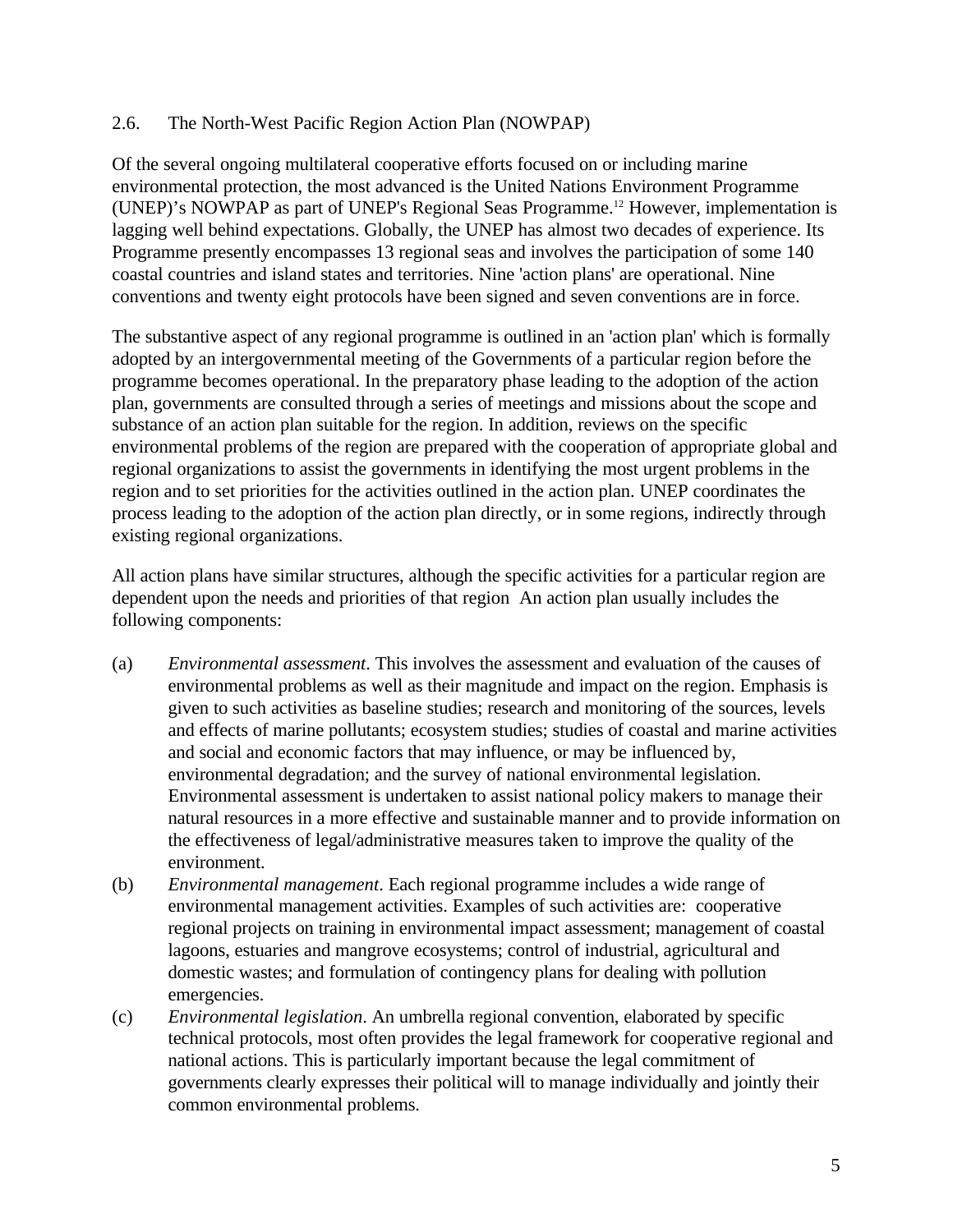#### 2.6. The North-West Pacific Region Action Plan (NOWPAP)

Of the several ongoing multilateral cooperative efforts focused on or including marine environmental protection, the most advanced is the United Nations Environment Programme (UNEP)'s NOWPAP as part of UNEP's Regional Seas Programme.<sup>12</sup> However, implementation is lagging well behind expectations. Globally, the UNEP has almost two decades of experience. Its Programme presently encompasses 13 regional seas and involves the participation of some 140 coastal countries and island states and territories. Nine 'action plans' are operational. Nine conventions and twenty eight protocols have been signed and seven conventions are in force.

The substantive aspect of any regional programme is outlined in an 'action plan' which is formally adopted by an intergovernmental meeting of the Governments of a particular region before the programme becomes operational. In the preparatory phase leading to the adoption of the action plan, governments are consulted through a series of meetings and missions about the scope and substance of an action plan suitable for the region. In addition, reviews on the specific environmental problems of the region are prepared with the cooperation of appropriate global and regional organizations to assist the governments in identifying the most urgent problems in the region and to set priorities for the activities outlined in the action plan. UNEP coordinates the process leading to the adoption of the action plan directly, or in some regions, indirectly through existing regional organizations.

All action plans have similar structures, although the specific activities for a particular region are dependent upon the needs and priorities of that region An action plan usually includes the following components:

- (a) *Environmental assessment*. This involves the assessment and evaluation of the causes of environmental problems as well as their magnitude and impact on the region. Emphasis is given to such activities as baseline studies; research and monitoring of the sources, levels and effects of marine pollutants; ecosystem studies; studies of coastal and marine activities and social and economic factors that may influence, or may be influenced by, environmental degradation; and the survey of national environmental legislation. Environmental assessment is undertaken to assist national policy makers to manage their natural resources in a more effective and sustainable manner and to provide information on the effectiveness of legal/administrative measures taken to improve the quality of the environment.
- (b) *Environmental management*. Each regional programme includes a wide range of environmental management activities. Examples of such activities are: cooperative regional projects on training in environmental impact assessment; management of coastal lagoons, estuaries and mangrove ecosystems; control of industrial, agricultural and domestic wastes; and formulation of contingency plans for dealing with pollution emergencies.
- (c) *Environmental legislation*. An umbrella regional convention, elaborated by specific technical protocols, most often provides the legal framework for cooperative regional and national actions. This is particularly important because the legal commitment of governments clearly expresses their political will to manage individually and jointly their common environmental problems.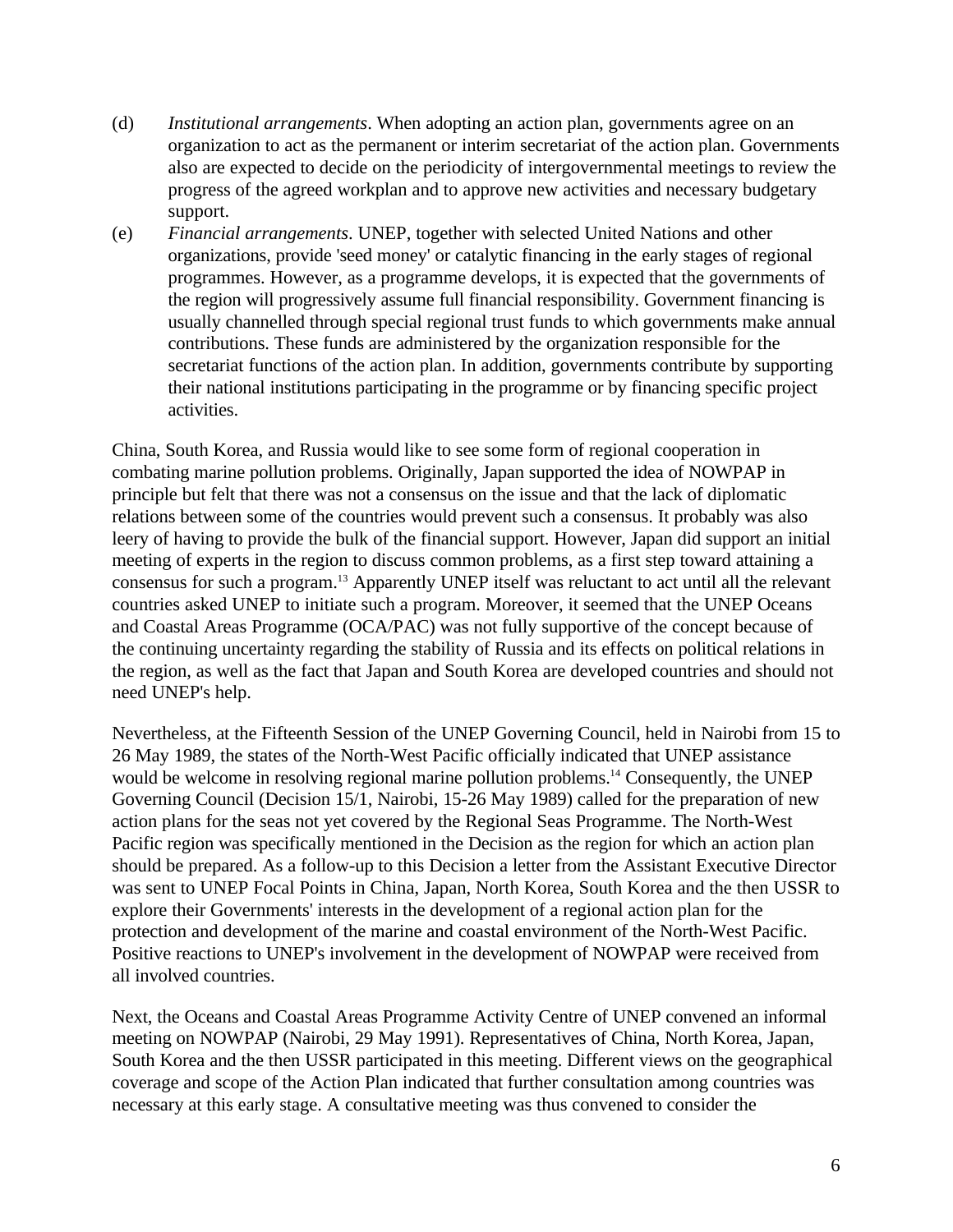- (d) *Institutional arrangements*. When adopting an action plan, governments agree on an organization to act as the permanent or interim secretariat of the action plan. Governments also are expected to decide on the periodicity of intergovernmental meetings to review the progress of the agreed workplan and to approve new activities and necessary budgetary support.
- (e) *Financial arrangements*. UNEP, together with selected United Nations and other organizations, provide 'seed money' or catalytic financing in the early stages of regional programmes. However, as a programme develops, it is expected that the governments of the region will progressively assume full financial responsibility. Government financing is usually channelled through special regional trust funds to which governments make annual contributions. These funds are administered by the organization responsible for the secretariat functions of the action plan. In addition, governments contribute by supporting their national institutions participating in the programme or by financing specific project activities.

China, South Korea, and Russia would like to see some form of regional cooperation in combating marine pollution problems. Originally, Japan supported the idea of NOWPAP in principle but felt that there was not a consensus on the issue and that the lack of diplomatic relations between some of the countries would prevent such a consensus. It probably was also leery of having to provide the bulk of the financial support. However, Japan did support an initial meeting of experts in the region to discuss common problems, as a first step toward attaining a consensus for such a program.<sup>13</sup> Apparently UNEP itself was reluctant to act until all the relevant countries asked UNEP to initiate such a program. Moreover, it seemed that the UNEP Oceans and Coastal Areas Programme (OCA/PAC) was not fully supportive of the concept because of the continuing uncertainty regarding the stability of Russia and its effects on political relations in the region, as well as the fact that Japan and South Korea are developed countries and should not need UNEP's help.

Nevertheless, at the Fifteenth Session of the UNEP Governing Council, held in Nairobi from 15 to 26 May 1989, the states of the North-West Pacific officially indicated that UNEP assistance would be welcome in resolving regional marine pollution problems.<sup>14</sup> Consequently, the UNEP Governing Council (Decision 15/1, Nairobi, 15-26 May 1989) called for the preparation of new action plans for the seas not yet covered by the Regional Seas Programme. The North-West Pacific region was specifically mentioned in the Decision as the region for which an action plan should be prepared. As a follow-up to this Decision a letter from the Assistant Executive Director was sent to UNEP Focal Points in China, Japan, North Korea, South Korea and the then USSR to explore their Governments' interests in the development of a regional action plan for the protection and development of the marine and coastal environment of the North-West Pacific. Positive reactions to UNEP's involvement in the development of NOWPAP were received from all involved countries.

Next, the Oceans and Coastal Areas Programme Activity Centre of UNEP convened an informal meeting on NOWPAP (Nairobi, 29 May 1991). Representatives of China, North Korea, Japan, South Korea and the then USSR participated in this meeting. Different views on the geographical coverage and scope of the Action Plan indicated that further consultation among countries was necessary at this early stage. A consultative meeting was thus convened to consider the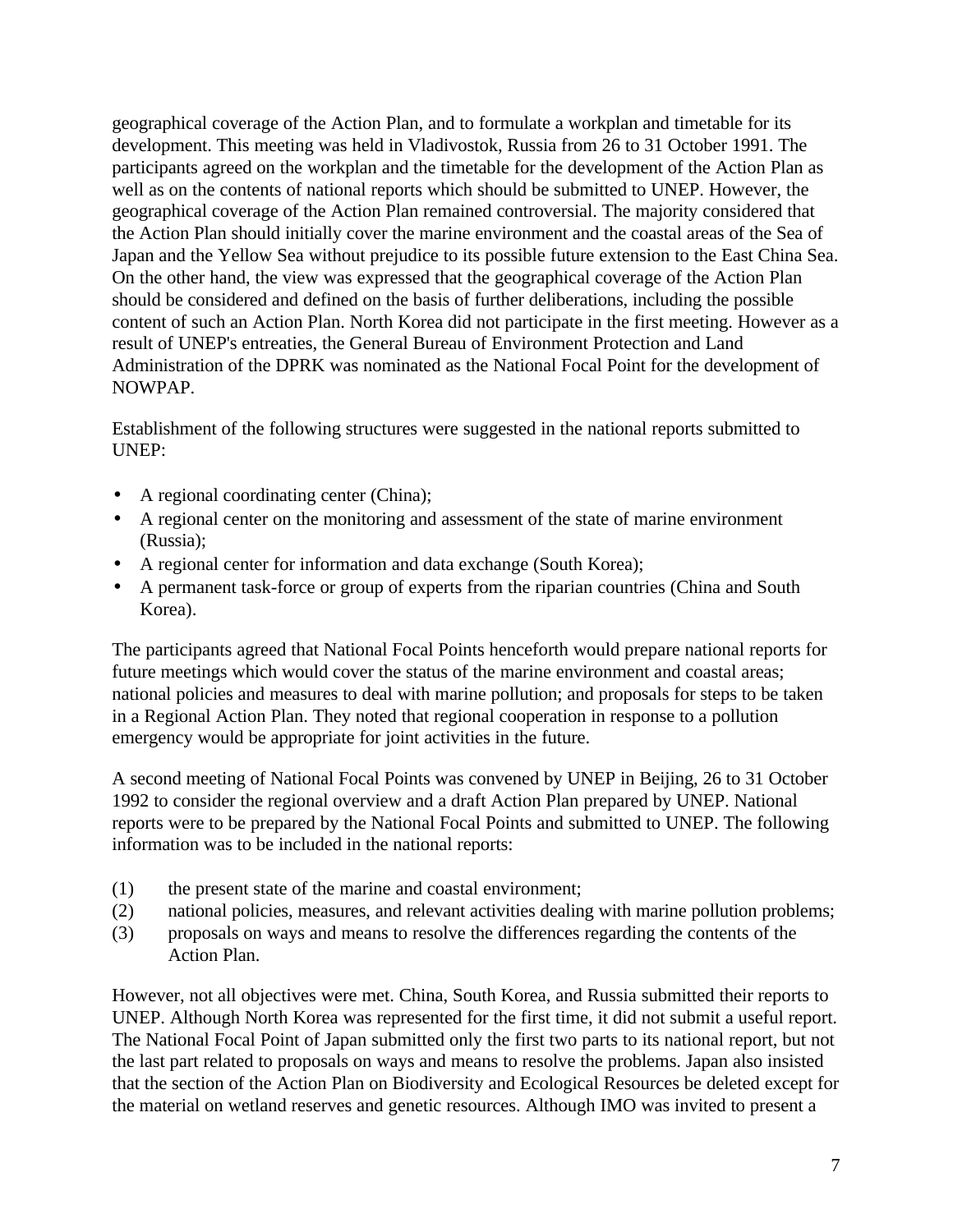geographical coverage of the Action Plan, and to formulate a workplan and timetable for its development. This meeting was held in Vladivostok, Russia from 26 to 31 October 1991. The participants agreed on the workplan and the timetable for the development of the Action Plan as well as on the contents of national reports which should be submitted to UNEP. However, the geographical coverage of the Action Plan remained controversial. The majority considered that the Action Plan should initially cover the marine environment and the coastal areas of the Sea of Japan and the Yellow Sea without prejudice to its possible future extension to the East China Sea. On the other hand, the view was expressed that the geographical coverage of the Action Plan should be considered and defined on the basis of further deliberations, including the possible content of such an Action Plan. North Korea did not participate in the first meeting. However as a result of UNEP's entreaties, the General Bureau of Environment Protection and Land Administration of the DPRK was nominated as the National Focal Point for the development of NOWPAP.

Establishment of the following structures were suggested in the national reports submitted to UNEP:

- A regional coordinating center (China);
- A regional center on the monitoring and assessment of the state of marine environment (Russia);
- A regional center for information and data exchange (South Korea);
- A permanent task-force or group of experts from the riparian countries (China and South Korea).

The participants agreed that National Focal Points henceforth would prepare national reports for future meetings which would cover the status of the marine environment and coastal areas; national policies and measures to deal with marine pollution; and proposals for steps to be taken in a Regional Action Plan. They noted that regional cooperation in response to a pollution emergency would be appropriate for joint activities in the future.

A second meeting of National Focal Points was convened by UNEP in Beijing, 26 to 31 October 1992 to consider the regional overview and a draft Action Plan prepared by UNEP. National reports were to be prepared by the National Focal Points and submitted to UNEP. The following information was to be included in the national reports:

- (1) the present state of the marine and coastal environment;
- (2) national policies, measures, and relevant activities dealing with marine pollution problems;
- (3) proposals on ways and means to resolve the differences regarding the contents of the Action Plan.

However, not all objectives were met. China, South Korea, and Russia submitted their reports to UNEP. Although North Korea was represented for the first time, it did not submit a useful report. The National Focal Point of Japan submitted only the first two parts to its national report, but not the last part related to proposals on ways and means to resolve the problems. Japan also insisted that the section of the Action Plan on Biodiversity and Ecological Resources be deleted except for the material on wetland reserves and genetic resources. Although IMO was invited to present a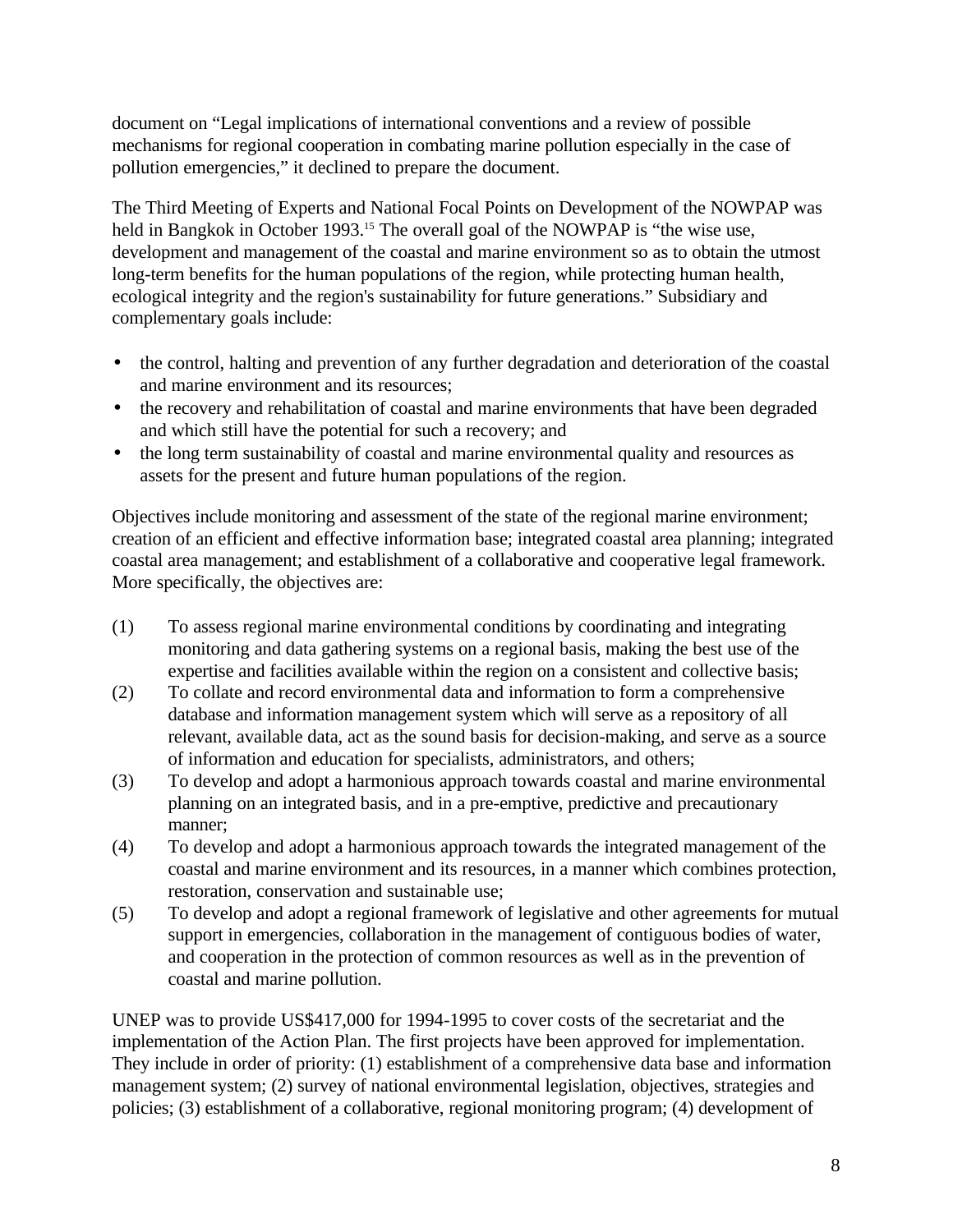document on "Legal implications of international conventions and a review of possible mechanisms for regional cooperation in combating marine pollution especially in the case of pollution emergencies," it declined to prepare the document.

The Third Meeting of Experts and National Focal Points on Development of the NOWPAP was held in Bangkok in October 1993.<sup>15</sup> The overall goal of the NOWPAP is "the wise use, development and management of the coastal and marine environment so as to obtain the utmost long-term benefits for the human populations of the region, while protecting human health, ecological integrity and the region's sustainability for future generations." Subsidiary and complementary goals include:

- the control, halting and prevention of any further degradation and deterioration of the coastal and marine environment and its resources;
- the recovery and rehabilitation of coastal and marine environments that have been degraded and which still have the potential for such a recovery; and
- the long term sustainability of coastal and marine environmental quality and resources as assets for the present and future human populations of the region.

Objectives include monitoring and assessment of the state of the regional marine environment; creation of an efficient and effective information base; integrated coastal area planning; integrated coastal area management; and establishment of a collaborative and cooperative legal framework. More specifically, the objectives are:

- (1) To assess regional marine environmental conditions by coordinating and integrating monitoring and data gathering systems on a regional basis, making the best use of the expertise and facilities available within the region on a consistent and collective basis;
- (2) To collate and record environmental data and information to form a comprehensive database and information management system which will serve as a repository of all relevant, available data, act as the sound basis for decision-making, and serve as a source of information and education for specialists, administrators, and others;
- (3) To develop and adopt a harmonious approach towards coastal and marine environmental planning on an integrated basis, and in a pre-emptive, predictive and precautionary manner;
- (4) To develop and adopt a harmonious approach towards the integrated management of the coastal and marine environment and its resources, in a manner which combines protection, restoration, conservation and sustainable use;
- (5) To develop and adopt a regional framework of legislative and other agreements for mutual support in emergencies, collaboration in the management of contiguous bodies of water, and cooperation in the protection of common resources as well as in the prevention of coastal and marine pollution.

UNEP was to provide US\$417,000 for 1994-1995 to cover costs of the secretariat and the implementation of the Action Plan. The first projects have been approved for implementation. They include in order of priority: (1) establishment of a comprehensive data base and information management system; (2) survey of national environmental legislation, objectives, strategies and policies; (3) establishment of a collaborative, regional monitoring program; (4) development of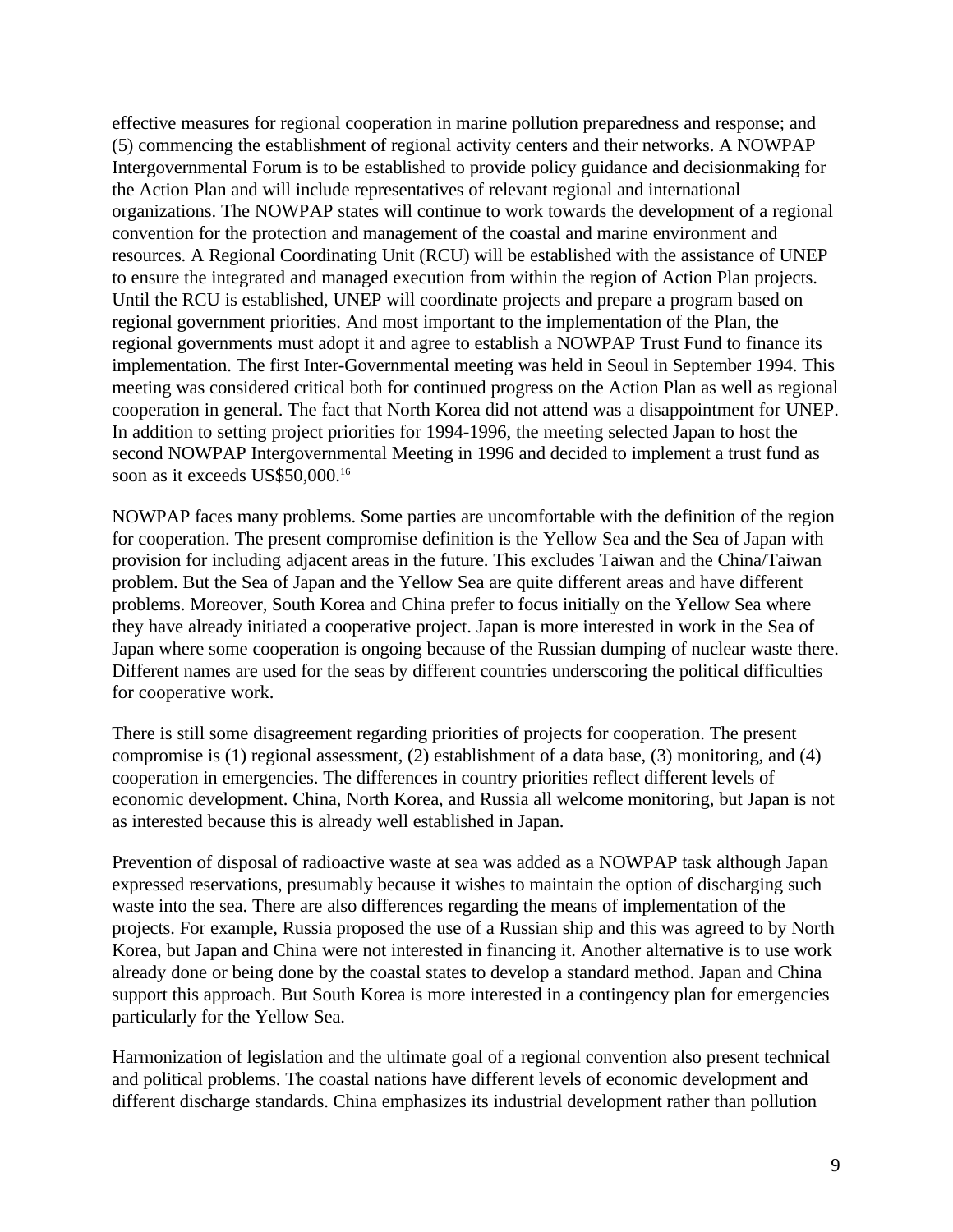effective measures for regional cooperation in marine pollution preparedness and response; and (5) commencing the establishment of regional activity centers and their networks. A NOWPAP Intergovernmental Forum is to be established to provide policy guidance and decisionmaking for the Action Plan and will include representatives of relevant regional and international organizations. The NOWPAP states will continue to work towards the development of a regional convention for the protection and management of the coastal and marine environment and resources. A Regional Coordinating Unit (RCU) will be established with the assistance of UNEP to ensure the integrated and managed execution from within the region of Action Plan projects. Until the RCU is established, UNEP will coordinate projects and prepare a program based on regional government priorities. And most important to the implementation of the Plan, the regional governments must adopt it and agree to establish a NOWPAP Trust Fund to finance its implementation. The first Inter-Governmental meeting was held in Seoul in September 1994. This meeting was considered critical both for continued progress on the Action Plan as well as regional cooperation in general. The fact that North Korea did not attend was a disappointment for UNEP. In addition to setting project priorities for 1994-1996, the meeting selected Japan to host the second NOWPAP Intergovernmental Meeting in 1996 and decided to implement a trust fund as soon as it exceeds US\$50,000.<sup>16</sup>

NOWPAP faces many problems. Some parties are uncomfortable with the definition of the region for cooperation. The present compromise definition is the Yellow Sea and the Sea of Japan with provision for including adjacent areas in the future. This excludes Taiwan and the China/Taiwan problem. But the Sea of Japan and the Yellow Sea are quite different areas and have different problems. Moreover, South Korea and China prefer to focus initially on the Yellow Sea where they have already initiated a cooperative project. Japan is more interested in work in the Sea of Japan where some cooperation is ongoing because of the Russian dumping of nuclear waste there. Different names are used for the seas by different countries underscoring the political difficulties for cooperative work.

There is still some disagreement regarding priorities of projects for cooperation. The present compromise is (1) regional assessment, (2) establishment of a data base, (3) monitoring, and (4) cooperation in emergencies. The differences in country priorities reflect different levels of economic development. China, North Korea, and Russia all welcome monitoring, but Japan is not as interested because this is already well established in Japan.

Prevention of disposal of radioactive waste at sea was added as a NOWPAP task although Japan expressed reservations, presumably because it wishes to maintain the option of discharging such waste into the sea. There are also differences regarding the means of implementation of the projects. For example, Russia proposed the use of a Russian ship and this was agreed to by North Korea, but Japan and China were not interested in financing it. Another alternative is to use work already done or being done by the coastal states to develop a standard method. Japan and China support this approach. But South Korea is more interested in a contingency plan for emergencies particularly for the Yellow Sea.

Harmonization of legislation and the ultimate goal of a regional convention also present technical and political problems. The coastal nations have different levels of economic development and different discharge standards. China emphasizes its industrial development rather than pollution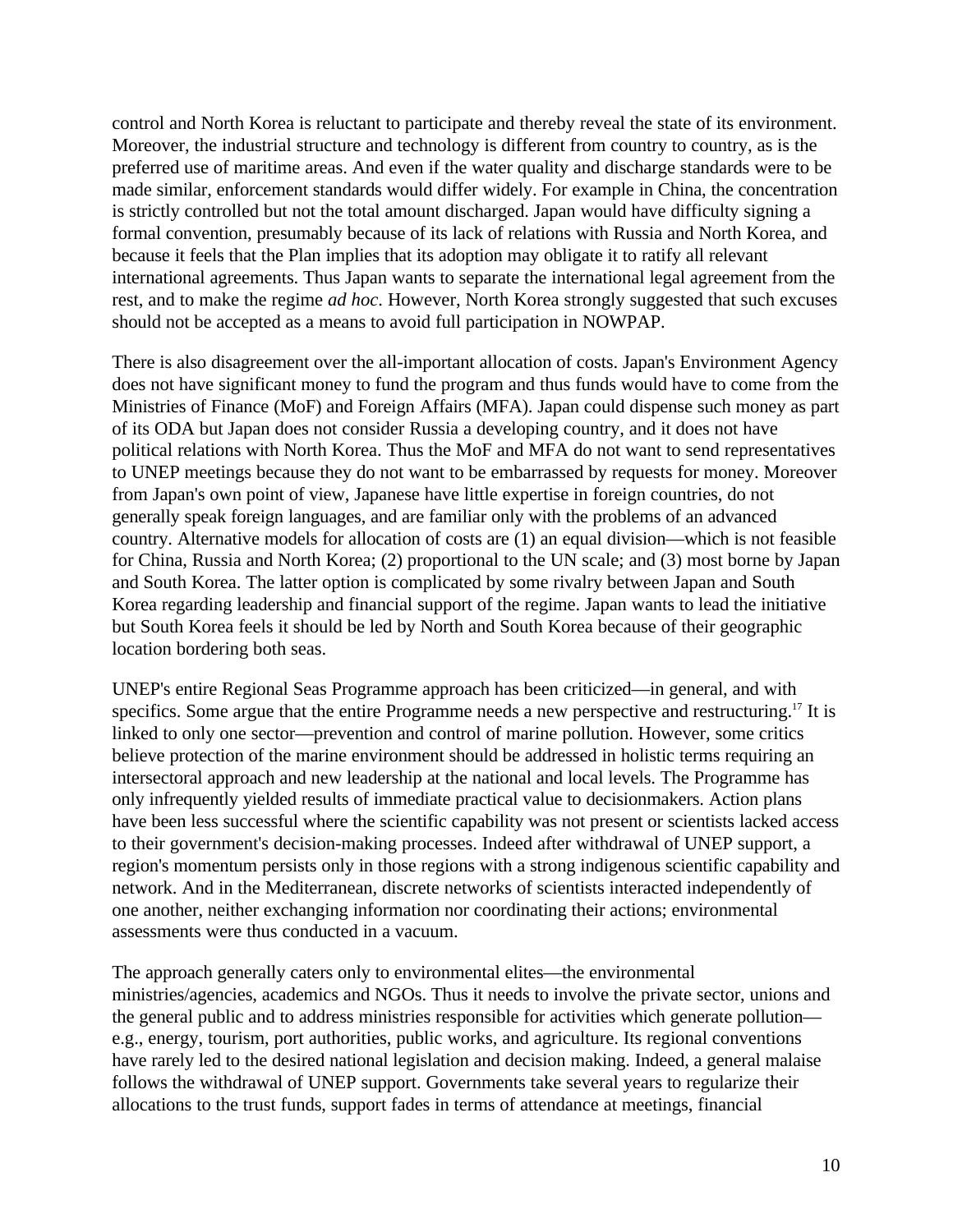control and North Korea is reluctant to participate and thereby reveal the state of its environment. Moreover, the industrial structure and technology is different from country to country, as is the preferred use of maritime areas. And even if the water quality and discharge standards were to be made similar, enforcement standards would differ widely. For example in China, the concentration is strictly controlled but not the total amount discharged. Japan would have difficulty signing a formal convention, presumably because of its lack of relations with Russia and North Korea, and because it feels that the Plan implies that its adoption may obligate it to ratify all relevant international agreements. Thus Japan wants to separate the international legal agreement from the rest, and to make the regime *ad hoc*. However, North Korea strongly suggested that such excuses should not be accepted as a means to avoid full participation in NOWPAP.

There is also disagreement over the all-important allocation of costs. Japan's Environment Agency does not have significant money to fund the program and thus funds would have to come from the Ministries of Finance (MoF) and Foreign Affairs (MFA). Japan could dispense such money as part of its ODA but Japan does not consider Russia a developing country, and it does not have political relations with North Korea. Thus the MoF and MFA do not want to send representatives to UNEP meetings because they do not want to be embarrassed by requests for money. Moreover from Japan's own point of view, Japanese have little expertise in foreign countries, do not generally speak foreign languages, and are familiar only with the problems of an advanced country. Alternative models for allocation of costs are (1) an equal division—which is not feasible for China, Russia and North Korea; (2) proportional to the UN scale; and (3) most borne by Japan and South Korea. The latter option is complicated by some rivalry between Japan and South Korea regarding leadership and financial support of the regime. Japan wants to lead the initiative but South Korea feels it should be led by North and South Korea because of their geographic location bordering both seas.

UNEP's entire Regional Seas Programme approach has been criticized—in general, and with specifics. Some argue that the entire Programme needs a new perspective and restructuring.<sup>17</sup> It is linked to only one sector—prevention and control of marine pollution. However, some critics believe protection of the marine environment should be addressed in holistic terms requiring an intersectoral approach and new leadership at the national and local levels. The Programme has only infrequently yielded results of immediate practical value to decisionmakers. Action plans have been less successful where the scientific capability was not present or scientists lacked access to their government's decision-making processes. Indeed after withdrawal of UNEP support, a region's momentum persists only in those regions with a strong indigenous scientific capability and network. And in the Mediterranean, discrete networks of scientists interacted independently of one another, neither exchanging information nor coordinating their actions; environmental assessments were thus conducted in a vacuum.

The approach generally caters only to environmental elites—the environmental ministries/agencies, academics and NGOs. Thus it needs to involve the private sector, unions and the general public and to address ministries responsible for activities which generate pollution e.g., energy, tourism, port authorities, public works, and agriculture. Its regional conventions have rarely led to the desired national legislation and decision making. Indeed, a general malaise follows the withdrawal of UNEP support. Governments take several years to regularize their allocations to the trust funds, support fades in terms of attendance at meetings, financial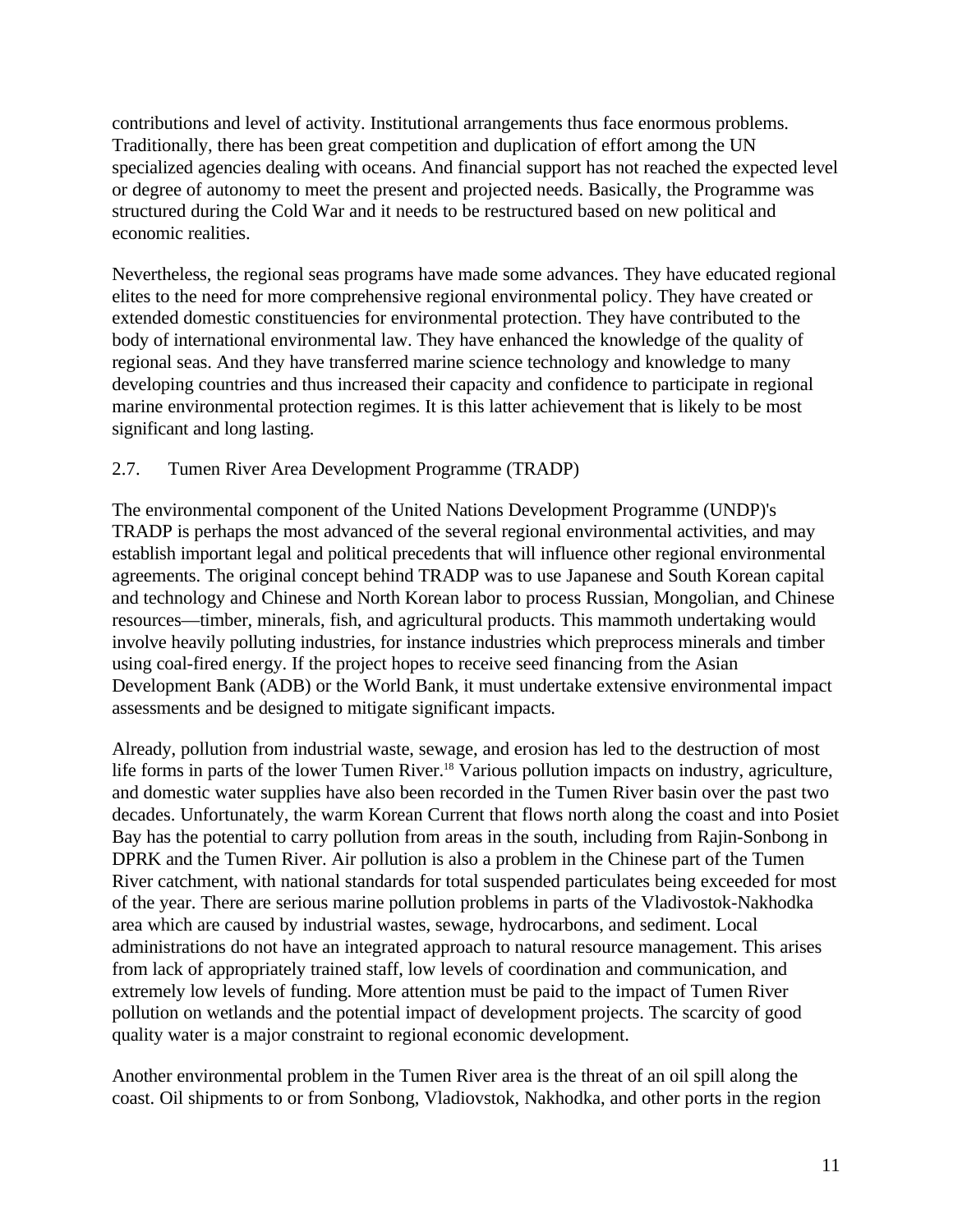contributions and level of activity. Institutional arrangements thus face enormous problems. Traditionally, there has been great competition and duplication of effort among the UN specialized agencies dealing with oceans. And financial support has not reached the expected level or degree of autonomy to meet the present and projected needs. Basically, the Programme was structured during the Cold War and it needs to be restructured based on new political and economic realities.

Nevertheless, the regional seas programs have made some advances. They have educated regional elites to the need for more comprehensive regional environmental policy. They have created or extended domestic constituencies for environmental protection. They have contributed to the body of international environmental law. They have enhanced the knowledge of the quality of regional seas. And they have transferred marine science technology and knowledge to many developing countries and thus increased their capacity and confidence to participate in regional marine environmental protection regimes. It is this latter achievement that is likely to be most significant and long lasting.

#### 2.7. Tumen River Area Development Programme (TRADP)

The environmental component of the United Nations Development Programme (UNDP)'s TRADP is perhaps the most advanced of the several regional environmental activities, and may establish important legal and political precedents that will influence other regional environmental agreements. The original concept behind TRADP was to use Japanese and South Korean capital and technology and Chinese and North Korean labor to process Russian, Mongolian, and Chinese resources—timber, minerals, fish, and agricultural products. This mammoth undertaking would involve heavily polluting industries, for instance industries which preprocess minerals and timber using coal-fired energy. If the project hopes to receive seed financing from the Asian Development Bank (ADB) or the World Bank, it must undertake extensive environmental impact assessments and be designed to mitigate significant impacts.

Already, pollution from industrial waste, sewage, and erosion has led to the destruction of most life forms in parts of the lower Tumen River.<sup>18</sup> Various pollution impacts on industry, agriculture, and domestic water supplies have also been recorded in the Tumen River basin over the past two decades. Unfortunately, the warm Korean Current that flows north along the coast and into Posiet Bay has the potential to carry pollution from areas in the south, including from Rajin-Sonbong in DPRK and the Tumen River. Air pollution is also a problem in the Chinese part of the Tumen River catchment, with national standards for total suspended particulates being exceeded for most of the year. There are serious marine pollution problems in parts of the Vladivostok-Nakhodka area which are caused by industrial wastes, sewage, hydrocarbons, and sediment. Local administrations do not have an integrated approach to natural resource management. This arises from lack of appropriately trained staff, low levels of coordination and communication, and extremely low levels of funding. More attention must be paid to the impact of Tumen River pollution on wetlands and the potential impact of development projects. The scarcity of good quality water is a major constraint to regional economic development.

Another environmental problem in the Tumen River area is the threat of an oil spill along the coast. Oil shipments to or from Sonbong, Vladiovstok, Nakhodka, and other ports in the region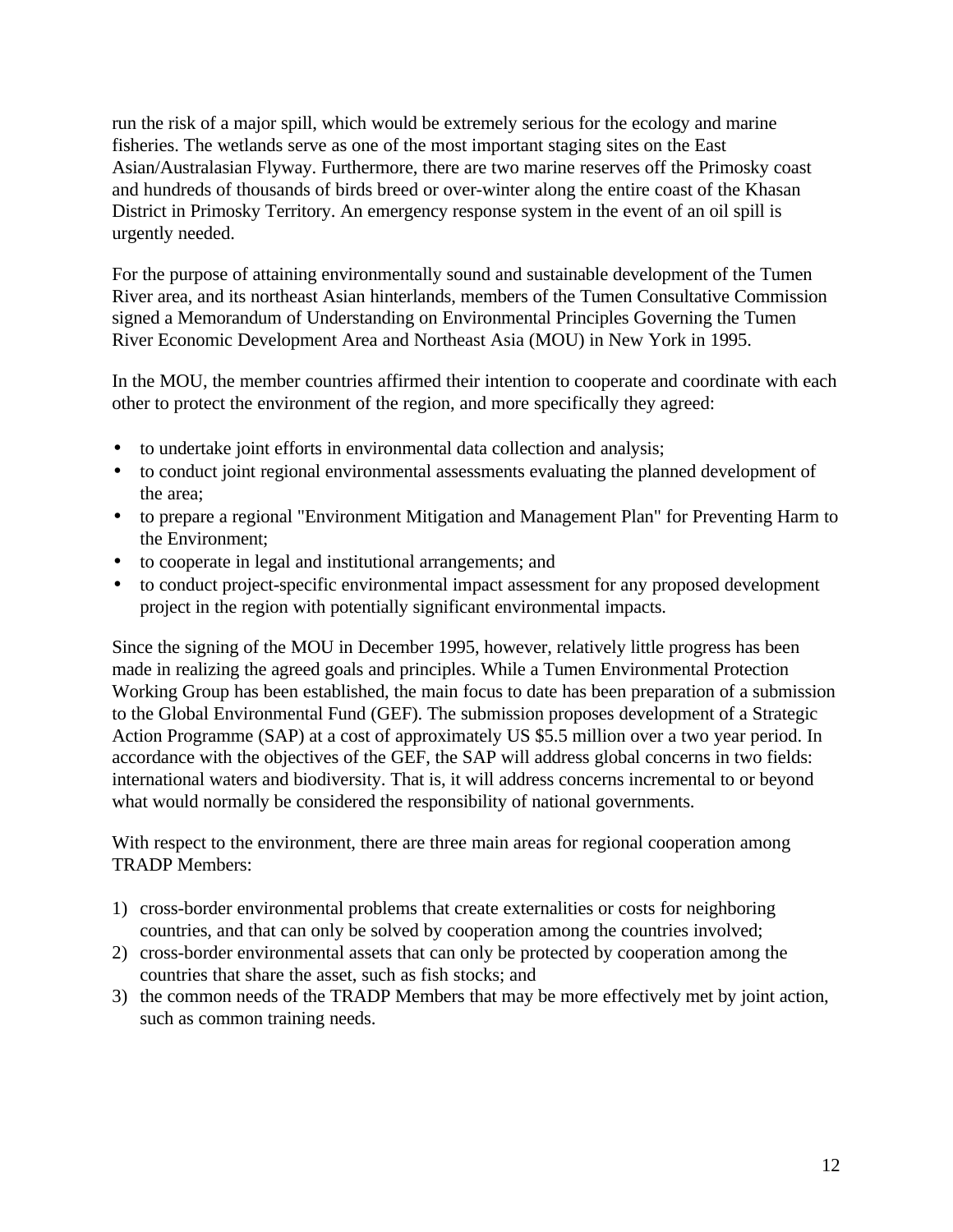run the risk of a major spill, which would be extremely serious for the ecology and marine fisheries. The wetlands serve as one of the most important staging sites on the East Asian/Australasian Flyway. Furthermore, there are two marine reserves off the Primosky coast and hundreds of thousands of birds breed or over-winter along the entire coast of the Khasan District in Primosky Territory. An emergency response system in the event of an oil spill is urgently needed.

For the purpose of attaining environmentally sound and sustainable development of the Tumen River area, and its northeast Asian hinterlands, members of the Tumen Consultative Commission signed a Memorandum of Understanding on Environmental Principles Governing the Tumen River Economic Development Area and Northeast Asia (MOU) in New York in 1995.

In the MOU, the member countries affirmed their intention to cooperate and coordinate with each other to protect the environment of the region, and more specifically they agreed:

- to undertake joint efforts in environmental data collection and analysis;
- to conduct joint regional environmental assessments evaluating the planned development of the area;
- to prepare a regional "Environment Mitigation and Management Plan" for Preventing Harm to the Environment;
- to cooperate in legal and institutional arrangements; and
- to conduct project-specific environmental impact assessment for any proposed development project in the region with potentially significant environmental impacts.

Since the signing of the MOU in December 1995, however, relatively little progress has been made in realizing the agreed goals and principles. While a Tumen Environmental Protection Working Group has been established, the main focus to date has been preparation of a submission to the Global Environmental Fund (GEF). The submission proposes development of a Strategic Action Programme (SAP) at a cost of approximately US \$5.5 million over a two year period. In accordance with the objectives of the GEF, the SAP will address global concerns in two fields: international waters and biodiversity. That is, it will address concerns incremental to or beyond what would normally be considered the responsibility of national governments.

With respect to the environment, there are three main areas for regional cooperation among TRADP Members:

- 1) cross-border environmental problems that create externalities or costs for neighboring countries, and that can only be solved by cooperation among the countries involved;
- 2) cross-border environmental assets that can only be protected by cooperation among the countries that share the asset, such as fish stocks; and
- 3) the common needs of the TRADP Members that may be more effectively met by joint action, such as common training needs.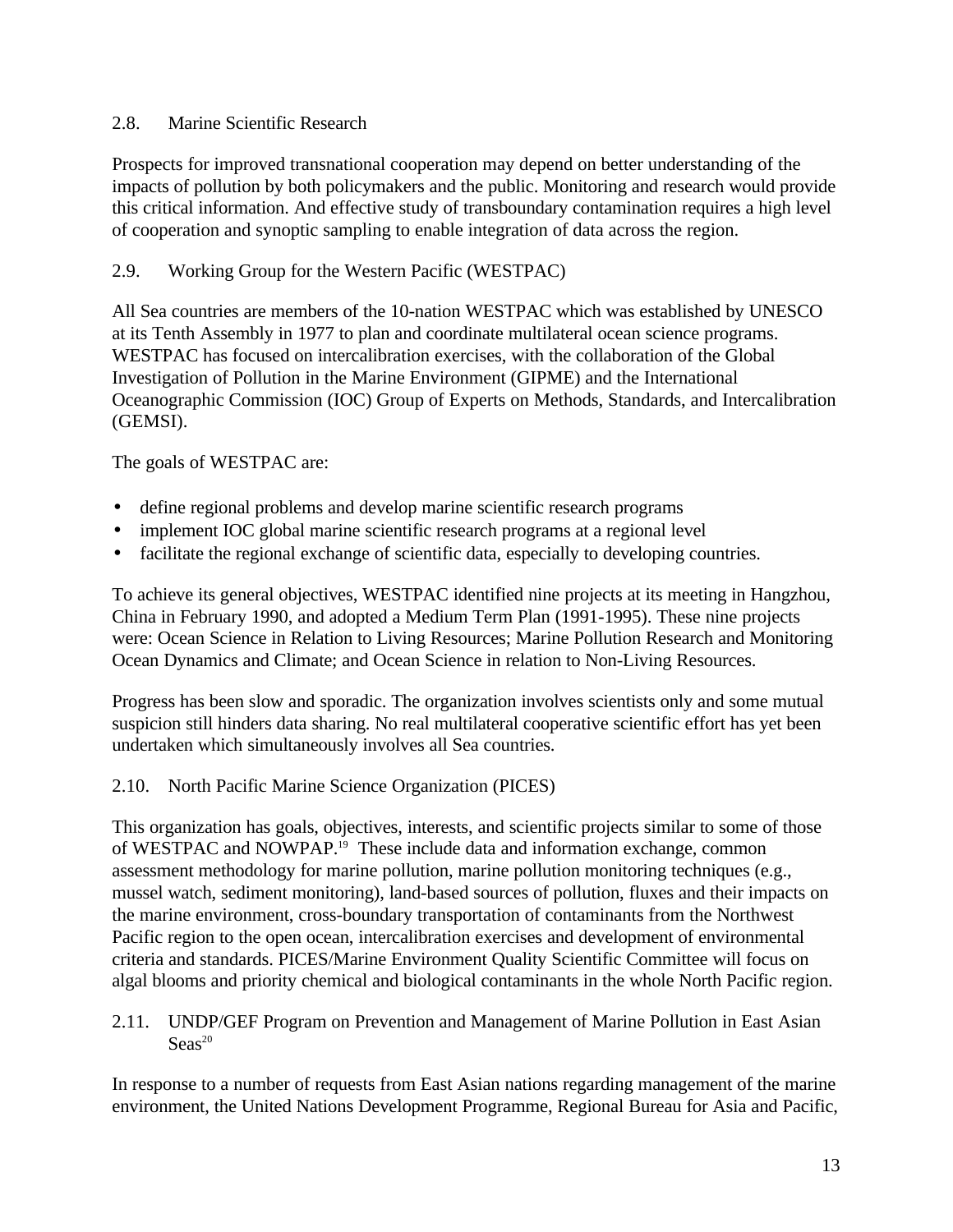## 2.8. Marine Scientific Research

Prospects for improved transnational cooperation may depend on better understanding of the impacts of pollution by both policymakers and the public. Monitoring and research would provide this critical information. And effective study of transboundary contamination requires a high level of cooperation and synoptic sampling to enable integration of data across the region.

## 2.9. Working Group for the Western Pacific (WESTPAC)

All Sea countries are members of the 10-nation WESTPAC which was established by UNESCO at its Tenth Assembly in 1977 to plan and coordinate multilateral ocean science programs. WESTPAC has focused on intercalibration exercises, with the collaboration of the Global Investigation of Pollution in the Marine Environment (GIPME) and the International Oceanographic Commission (IOC) Group of Experts on Methods, Standards, and Intercalibration (GEMSI).

The goals of WESTPAC are:

- define regional problems and develop marine scientific research programs
- implement IOC global marine scientific research programs at a regional level
- facilitate the regional exchange of scientific data, especially to developing countries.

To achieve its general objectives, WESTPAC identified nine projects at its meeting in Hangzhou, China in February 1990, and adopted a Medium Term Plan (1991-1995). These nine projects were: Ocean Science in Relation to Living Resources; Marine Pollution Research and Monitoring Ocean Dynamics and Climate; and Ocean Science in relation to Non-Living Resources.

Progress has been slow and sporadic. The organization involves scientists only and some mutual suspicion still hinders data sharing. No real multilateral cooperative scientific effort has yet been undertaken which simultaneously involves all Sea countries.

## 2.10. North Pacific Marine Science Organization (PICES)

This organization has goals, objectives, interests, and scientific projects similar to some of those of WESTPAC and NOWPAP.<sup>19</sup> These include data and information exchange, common assessment methodology for marine pollution, marine pollution monitoring techniques (e.g., mussel watch, sediment monitoring), land-based sources of pollution, fluxes and their impacts on the marine environment, cross-boundary transportation of contaminants from the Northwest Pacific region to the open ocean, intercalibration exercises and development of environmental criteria and standards. PICES/Marine Environment Quality Scientific Committee will focus on algal blooms and priority chemical and biological contaminants in the whole North Pacific region.

2.11. UNDP/GEF Program on Prevention and Management of Marine Pollution in East Asian  $S$ eas<sup>20</sup>

In response to a number of requests from East Asian nations regarding management of the marine environment, the United Nations Development Programme, Regional Bureau for Asia and Pacific,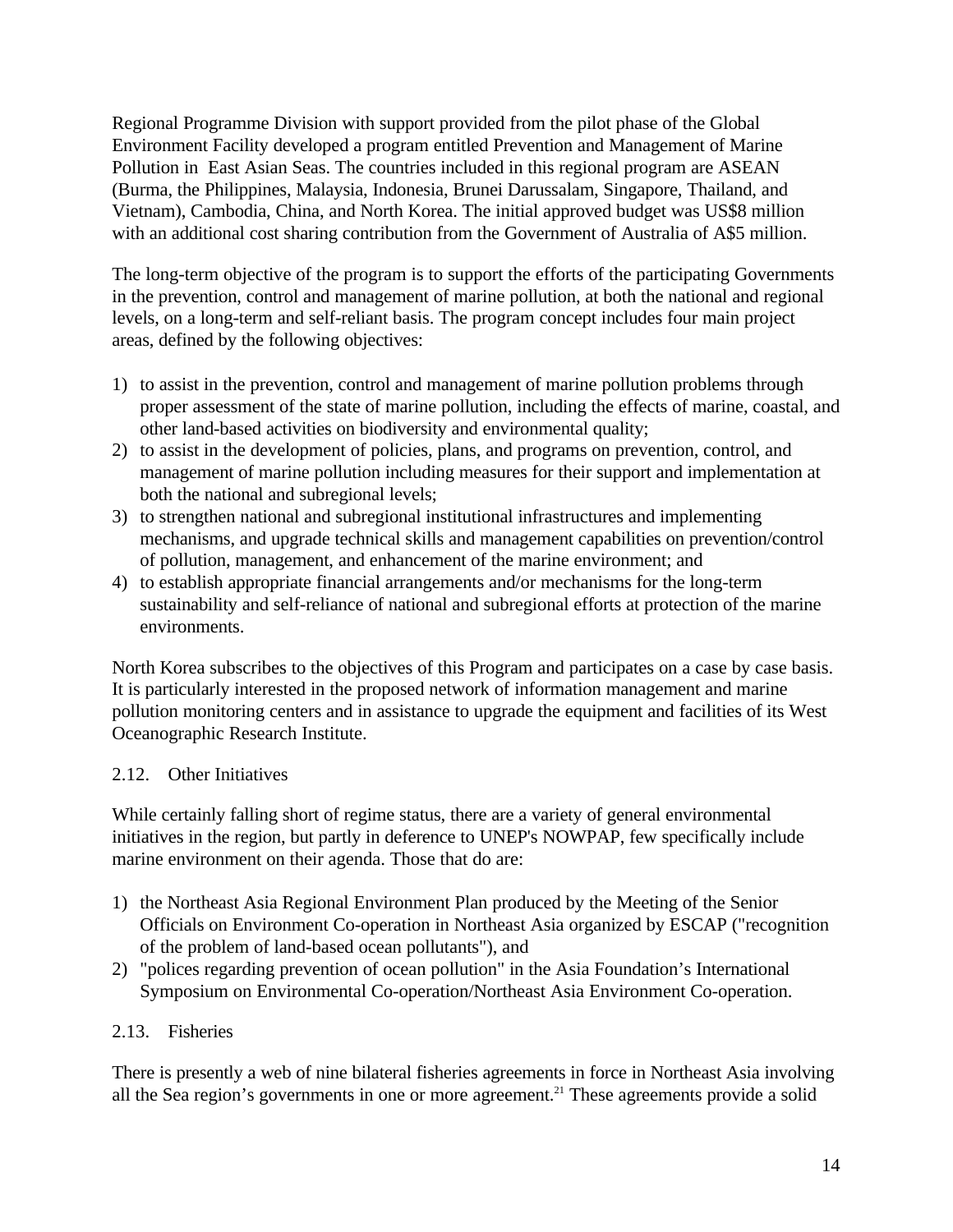Regional Programme Division with support provided from the pilot phase of the Global Environment Facility developed a program entitled Prevention and Management of Marine Pollution in East Asian Seas. The countries included in this regional program are ASEAN (Burma, the Philippines, Malaysia, Indonesia, Brunei Darussalam, Singapore, Thailand, and Vietnam), Cambodia, China, and North Korea. The initial approved budget was US\$8 million with an additional cost sharing contribution from the Government of Australia of A\$5 million.

The long-term objective of the program is to support the efforts of the participating Governments in the prevention, control and management of marine pollution, at both the national and regional levels, on a long-term and self-reliant basis. The program concept includes four main project areas, defined by the following objectives:

- 1) to assist in the prevention, control and management of marine pollution problems through proper assessment of the state of marine pollution, including the effects of marine, coastal, and other land-based activities on biodiversity and environmental quality;
- 2) to assist in the development of policies, plans, and programs on prevention, control, and management of marine pollution including measures for their support and implementation at both the national and subregional levels;
- 3) to strengthen national and subregional institutional infrastructures and implementing mechanisms, and upgrade technical skills and management capabilities on prevention/control of pollution, management, and enhancement of the marine environment; and
- 4) to establish appropriate financial arrangements and/or mechanisms for the long-term sustainability and self-reliance of national and subregional efforts at protection of the marine environments.

North Korea subscribes to the objectives of this Program and participates on a case by case basis. It is particularly interested in the proposed network of information management and marine pollution monitoring centers and in assistance to upgrade the equipment and facilities of its West Oceanographic Research Institute.

## 2.12. Other Initiatives

While certainly falling short of regime status, there are a variety of general environmental initiatives in the region, but partly in deference to UNEP's NOWPAP, few specifically include marine environment on their agenda. Those that do are:

- 1) the Northeast Asia Regional Environment Plan produced by the Meeting of the Senior Officials on Environment Co-operation in Northeast Asia organized by ESCAP ("recognition of the problem of land-based ocean pollutants"), and
- 2) "polices regarding prevention of ocean pollution" in the Asia Foundation's International Symposium on Environmental Co-operation/Northeast Asia Environment Co-operation.

## 2.13. Fisheries

There is presently a web of nine bilateral fisheries agreements in force in Northeast Asia involving all the Sea region's governments in one or more agreement.<sup>21</sup> These agreements provide a solid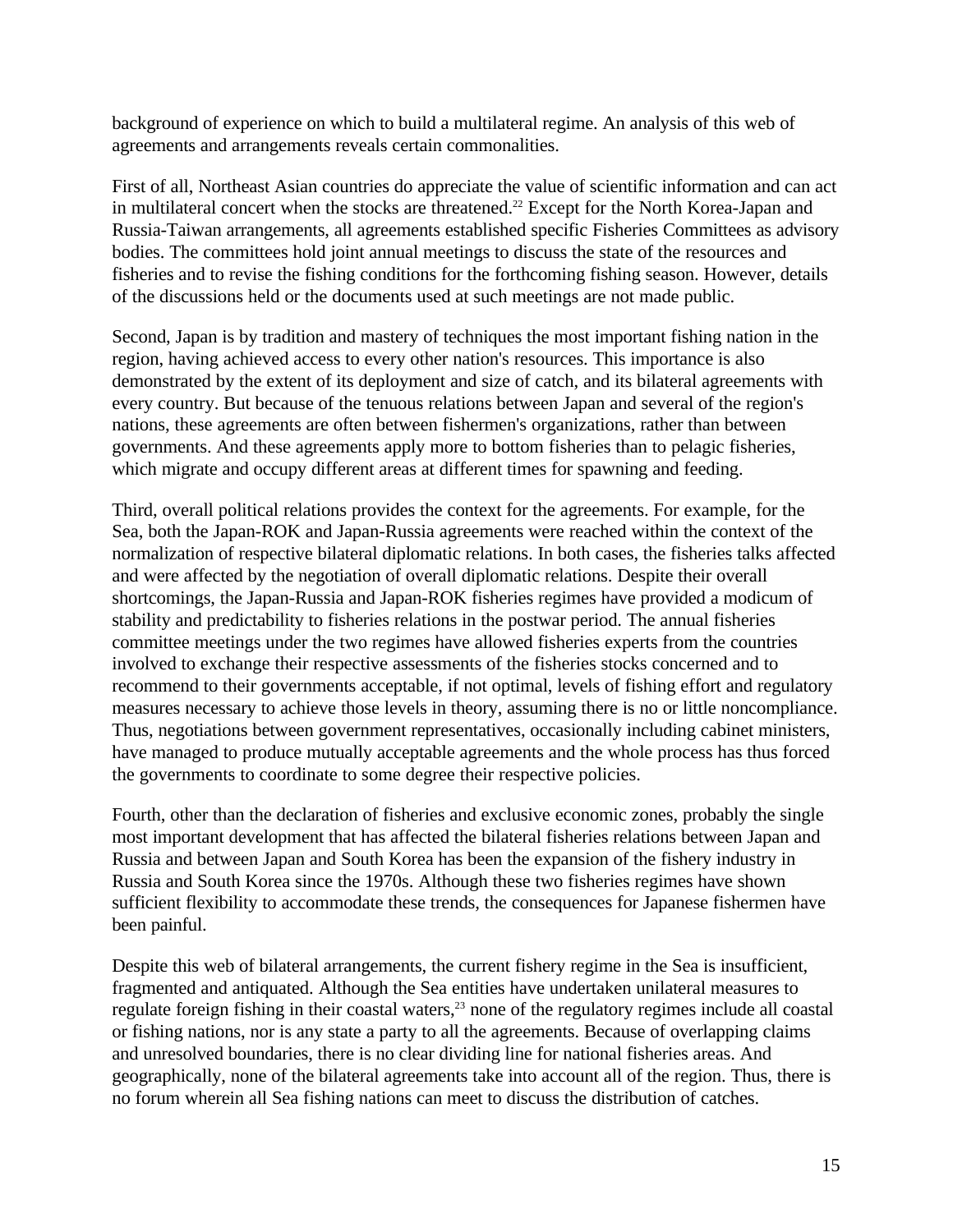background of experience on which to build a multilateral regime. An analysis of this web of agreements and arrangements reveals certain commonalities.

First of all, Northeast Asian countries do appreciate the value of scientific information and can act in multilateral concert when the stocks are threatened.<sup>22</sup> Except for the North Korea-Japan and Russia-Taiwan arrangements, all agreements established specific Fisheries Committees as advisory bodies. The committees hold joint annual meetings to discuss the state of the resources and fisheries and to revise the fishing conditions for the forthcoming fishing season. However, details of the discussions held or the documents used at such meetings are not made public.

Second, Japan is by tradition and mastery of techniques the most important fishing nation in the region, having achieved access to every other nation's resources. This importance is also demonstrated by the extent of its deployment and size of catch, and its bilateral agreements with every country. But because of the tenuous relations between Japan and several of the region's nations, these agreements are often between fishermen's organizations, rather than between governments. And these agreements apply more to bottom fisheries than to pelagic fisheries, which migrate and occupy different areas at different times for spawning and feeding.

Third, overall political relations provides the context for the agreements. For example, for the Sea, both the Japan-ROK and Japan-Russia agreements were reached within the context of the normalization of respective bilateral diplomatic relations. In both cases, the fisheries talks affected and were affected by the negotiation of overall diplomatic relations. Despite their overall shortcomings, the Japan-Russia and Japan-ROK fisheries regimes have provided a modicum of stability and predictability to fisheries relations in the postwar period. The annual fisheries committee meetings under the two regimes have allowed fisheries experts from the countries involved to exchange their respective assessments of the fisheries stocks concerned and to recommend to their governments acceptable, if not optimal, levels of fishing effort and regulatory measures necessary to achieve those levels in theory, assuming there is no or little noncompliance. Thus, negotiations between government representatives, occasionally including cabinet ministers, have managed to produce mutually acceptable agreements and the whole process has thus forced the governments to coordinate to some degree their respective policies.

Fourth, other than the declaration of fisheries and exclusive economic zones, probably the single most important development that has affected the bilateral fisheries relations between Japan and Russia and between Japan and South Korea has been the expansion of the fishery industry in Russia and South Korea since the 1970s. Although these two fisheries regimes have shown sufficient flexibility to accommodate these trends, the consequences for Japanese fishermen have been painful.

Despite this web of bilateral arrangements, the current fishery regime in the Sea is insufficient, fragmented and antiquated. Although the Sea entities have undertaken unilateral measures to regulate foreign fishing in their coastal waters,<sup>23</sup> none of the regulatory regimes include all coastal or fishing nations, nor is any state a party to all the agreements. Because of overlapping claims and unresolved boundaries, there is no clear dividing line for national fisheries areas. And geographically, none of the bilateral agreements take into account all of the region. Thus, there is no forum wherein all Sea fishing nations can meet to discuss the distribution of catches.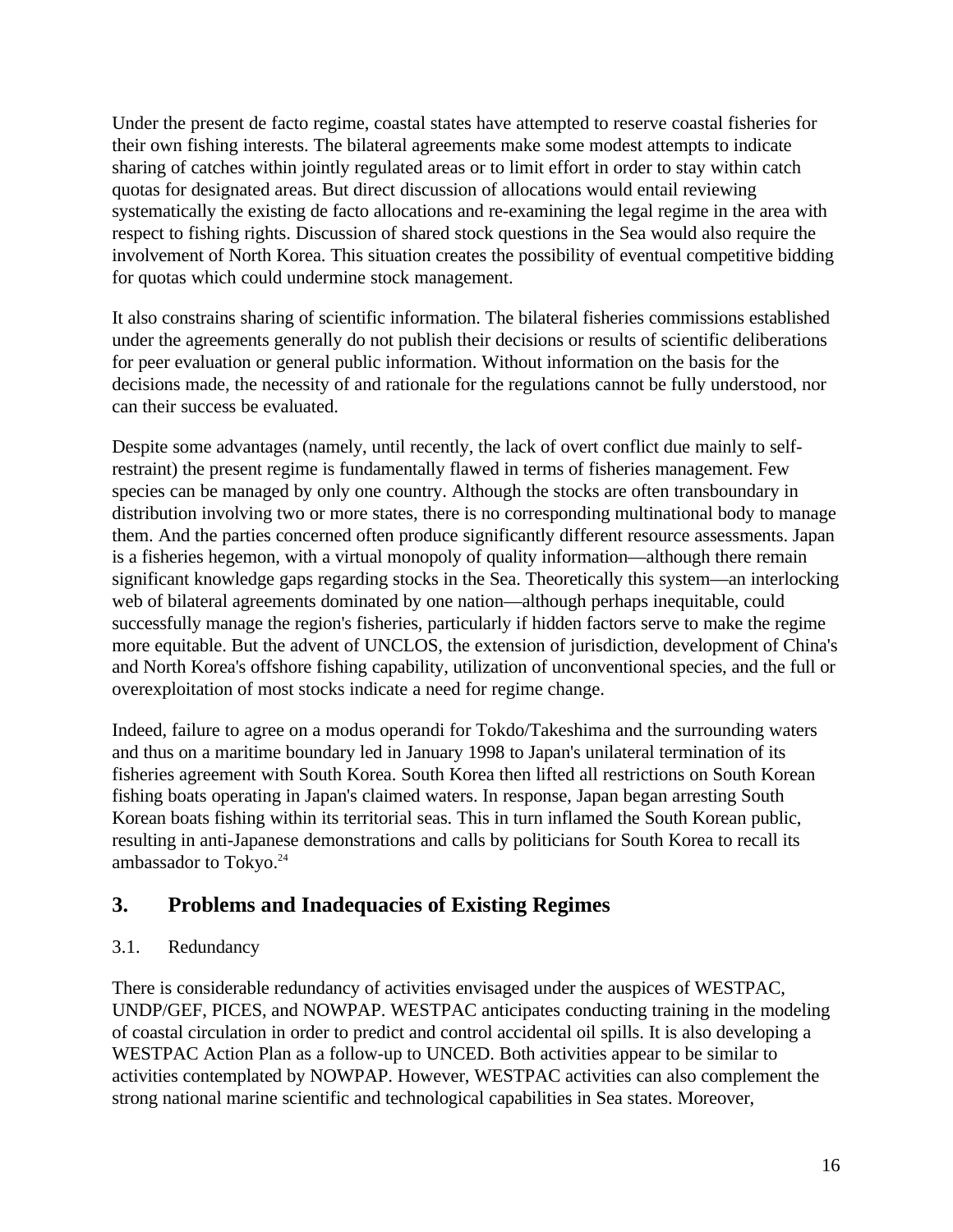Under the present de facto regime, coastal states have attempted to reserve coastal fisheries for their own fishing interests. The bilateral agreements make some modest attempts to indicate sharing of catches within jointly regulated areas or to limit effort in order to stay within catch quotas for designated areas. But direct discussion of allocations would entail reviewing systematically the existing de facto allocations and re-examining the legal regime in the area with respect to fishing rights. Discussion of shared stock questions in the Sea would also require the involvement of North Korea. This situation creates the possibility of eventual competitive bidding for quotas which could undermine stock management.

It also constrains sharing of scientific information. The bilateral fisheries commissions established under the agreements generally do not publish their decisions or results of scientific deliberations for peer evaluation or general public information. Without information on the basis for the decisions made, the necessity of and rationale for the regulations cannot be fully understood, nor can their success be evaluated.

Despite some advantages (namely, until recently, the lack of overt conflict due mainly to selfrestraint) the present regime is fundamentally flawed in terms of fisheries management. Few species can be managed by only one country. Although the stocks are often transboundary in distribution involving two or more states, there is no corresponding multinational body to manage them. And the parties concerned often produce significantly different resource assessments. Japan is a fisheries hegemon, with a virtual monopoly of quality information—although there remain significant knowledge gaps regarding stocks in the Sea. Theoretically this system—an interlocking web of bilateral agreements dominated by one nation—although perhaps inequitable, could successfully manage the region's fisheries, particularly if hidden factors serve to make the regime more equitable. But the advent of UNCLOS, the extension of jurisdiction, development of China's and North Korea's offshore fishing capability, utilization of unconventional species, and the full or overexploitation of most stocks indicate a need for regime change.

Indeed, failure to agree on a modus operandi for Tokdo/Takeshima and the surrounding waters and thus on a maritime boundary led in January 1998 to Japan's unilateral termination of its fisheries agreement with South Korea. South Korea then lifted all restrictions on South Korean fishing boats operating in Japan's claimed waters. In response, Japan began arresting South Korean boats fishing within its territorial seas. This in turn inflamed the South Korean public, resulting in anti-Japanese demonstrations and calls by politicians for South Korea to recall its ambassador to Tokyo.<sup>24</sup>

# **3. Problems and Inadequacies of Existing Regimes**

## 3.1. Redundancy

There is considerable redundancy of activities envisaged under the auspices of WESTPAC, UNDP/GEF, PICES, and NOWPAP. WESTPAC anticipates conducting training in the modeling of coastal circulation in order to predict and control accidental oil spills. It is also developing a WESTPAC Action Plan as a follow-up to UNCED. Both activities appear to be similar to activities contemplated by NOWPAP. However, WESTPAC activities can also complement the strong national marine scientific and technological capabilities in Sea states. Moreover,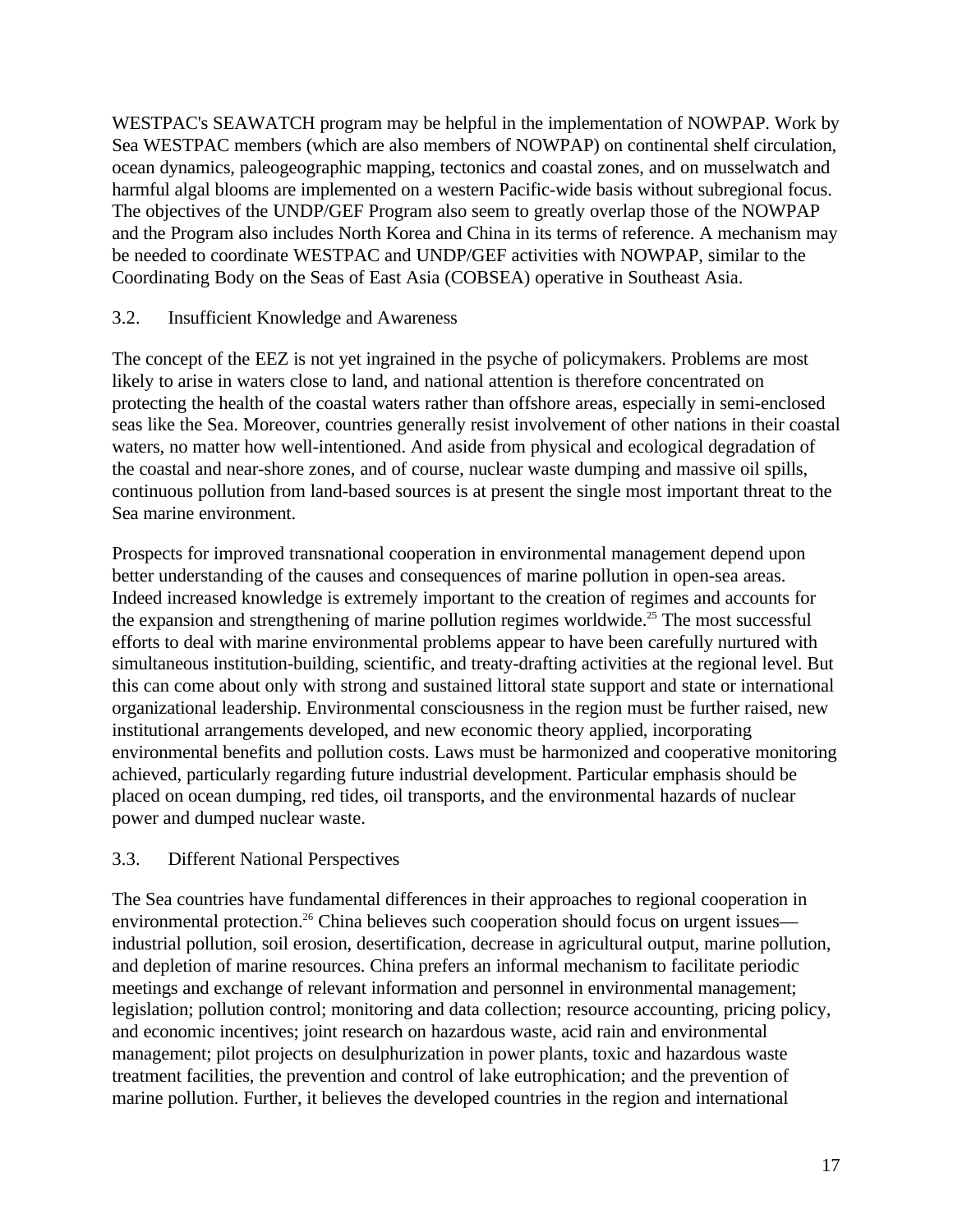WESTPAC's SEAWATCH program may be helpful in the implementation of NOWPAP. Work by Sea WESTPAC members (which are also members of NOWPAP) on continental shelf circulation, ocean dynamics, paleogeographic mapping, tectonics and coastal zones, and on musselwatch and harmful algal blooms are implemented on a western Pacific-wide basis without subregional focus. The objectives of the UNDP/GEF Program also seem to greatly overlap those of the NOWPAP and the Program also includes North Korea and China in its terms of reference. A mechanism may be needed to coordinate WESTPAC and UNDP/GEF activities with NOWPAP, similar to the Coordinating Body on the Seas of East Asia (COBSEA) operative in Southeast Asia.

## 3.2. Insufficient Knowledge and Awareness

The concept of the EEZ is not yet ingrained in the psyche of policymakers. Problems are most likely to arise in waters close to land, and national attention is therefore concentrated on protecting the health of the coastal waters rather than offshore areas, especially in semi-enclosed seas like the Sea. Moreover, countries generally resist involvement of other nations in their coastal waters, no matter how well-intentioned. And aside from physical and ecological degradation of the coastal and near-shore zones, and of course, nuclear waste dumping and massive oil spills, continuous pollution from land-based sources is at present the single most important threat to the Sea marine environment.

Prospects for improved transnational cooperation in environmental management depend upon better understanding of the causes and consequences of marine pollution in open-sea areas. Indeed increased knowledge is extremely important to the creation of regimes and accounts for the expansion and strengthening of marine pollution regimes worldwide.<sup>25</sup> The most successful efforts to deal with marine environmental problems appear to have been carefully nurtured with simultaneous institution-building, scientific, and treaty-drafting activities at the regional level. But this can come about only with strong and sustained littoral state support and state or international organizational leadership. Environmental consciousness in the region must be further raised, new institutional arrangements developed, and new economic theory applied, incorporating environmental benefits and pollution costs. Laws must be harmonized and cooperative monitoring achieved, particularly regarding future industrial development. Particular emphasis should be placed on ocean dumping, red tides, oil transports, and the environmental hazards of nuclear power and dumped nuclear waste.

## 3.3. Different National Perspectives

The Sea countries have fundamental differences in their approaches to regional cooperation in environmental protection.<sup>26</sup> China believes such cooperation should focus on urgent issues industrial pollution, soil erosion, desertification, decrease in agricultural output, marine pollution, and depletion of marine resources. China prefers an informal mechanism to facilitate periodic meetings and exchange of relevant information and personnel in environmental management; legislation; pollution control; monitoring and data collection; resource accounting, pricing policy, and economic incentives; joint research on hazardous waste, acid rain and environmental management; pilot projects on desulphurization in power plants, toxic and hazardous waste treatment facilities, the prevention and control of lake eutrophication; and the prevention of marine pollution. Further, it believes the developed countries in the region and international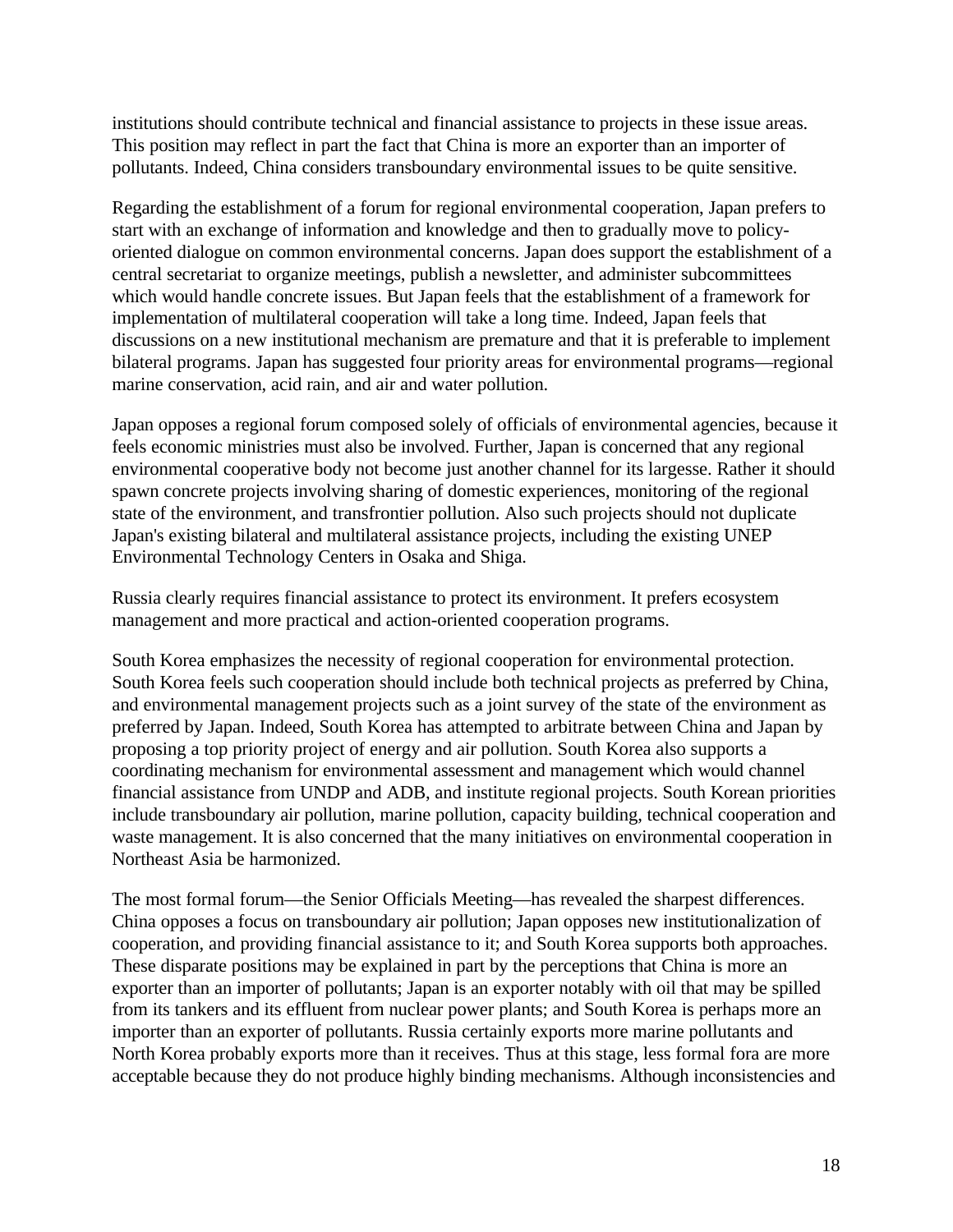institutions should contribute technical and financial assistance to projects in these issue areas. This position may reflect in part the fact that China is more an exporter than an importer of pollutants. Indeed, China considers transboundary environmental issues to be quite sensitive.

Regarding the establishment of a forum for regional environmental cooperation, Japan prefers to start with an exchange of information and knowledge and then to gradually move to policyoriented dialogue on common environmental concerns. Japan does support the establishment of a central secretariat to organize meetings, publish a newsletter, and administer subcommittees which would handle concrete issues. But Japan feels that the establishment of a framework for implementation of multilateral cooperation will take a long time. Indeed, Japan feels that discussions on a new institutional mechanism are premature and that it is preferable to implement bilateral programs. Japan has suggested four priority areas for environmental programs—regional marine conservation, acid rain, and air and water pollution.

Japan opposes a regional forum composed solely of officials of environmental agencies, because it feels economic ministries must also be involved. Further, Japan is concerned that any regional environmental cooperative body not become just another channel for its largesse. Rather it should spawn concrete projects involving sharing of domestic experiences, monitoring of the regional state of the environment, and transfrontier pollution. Also such projects should not duplicate Japan's existing bilateral and multilateral assistance projects, including the existing UNEP Environmental Technology Centers in Osaka and Shiga.

Russia clearly requires financial assistance to protect its environment. It prefers ecosystem management and more practical and action-oriented cooperation programs.

South Korea emphasizes the necessity of regional cooperation for environmental protection. South Korea feels such cooperation should include both technical projects as preferred by China, and environmental management projects such as a joint survey of the state of the environment as preferred by Japan. Indeed, South Korea has attempted to arbitrate between China and Japan by proposing a top priority project of energy and air pollution. South Korea also supports a coordinating mechanism for environmental assessment and management which would channel financial assistance from UNDP and ADB, and institute regional projects. South Korean priorities include transboundary air pollution, marine pollution, capacity building, technical cooperation and waste management. It is also concerned that the many initiatives on environmental cooperation in Northeast Asia be harmonized.

The most formal forum—the Senior Officials Meeting—has revealed the sharpest differences. China opposes a focus on transboundary air pollution; Japan opposes new institutionalization of cooperation, and providing financial assistance to it; and South Korea supports both approaches. These disparate positions may be explained in part by the perceptions that China is more an exporter than an importer of pollutants; Japan is an exporter notably with oil that may be spilled from its tankers and its effluent from nuclear power plants; and South Korea is perhaps more an importer than an exporter of pollutants. Russia certainly exports more marine pollutants and North Korea probably exports more than it receives. Thus at this stage, less formal fora are more acceptable because they do not produce highly binding mechanisms. Although inconsistencies and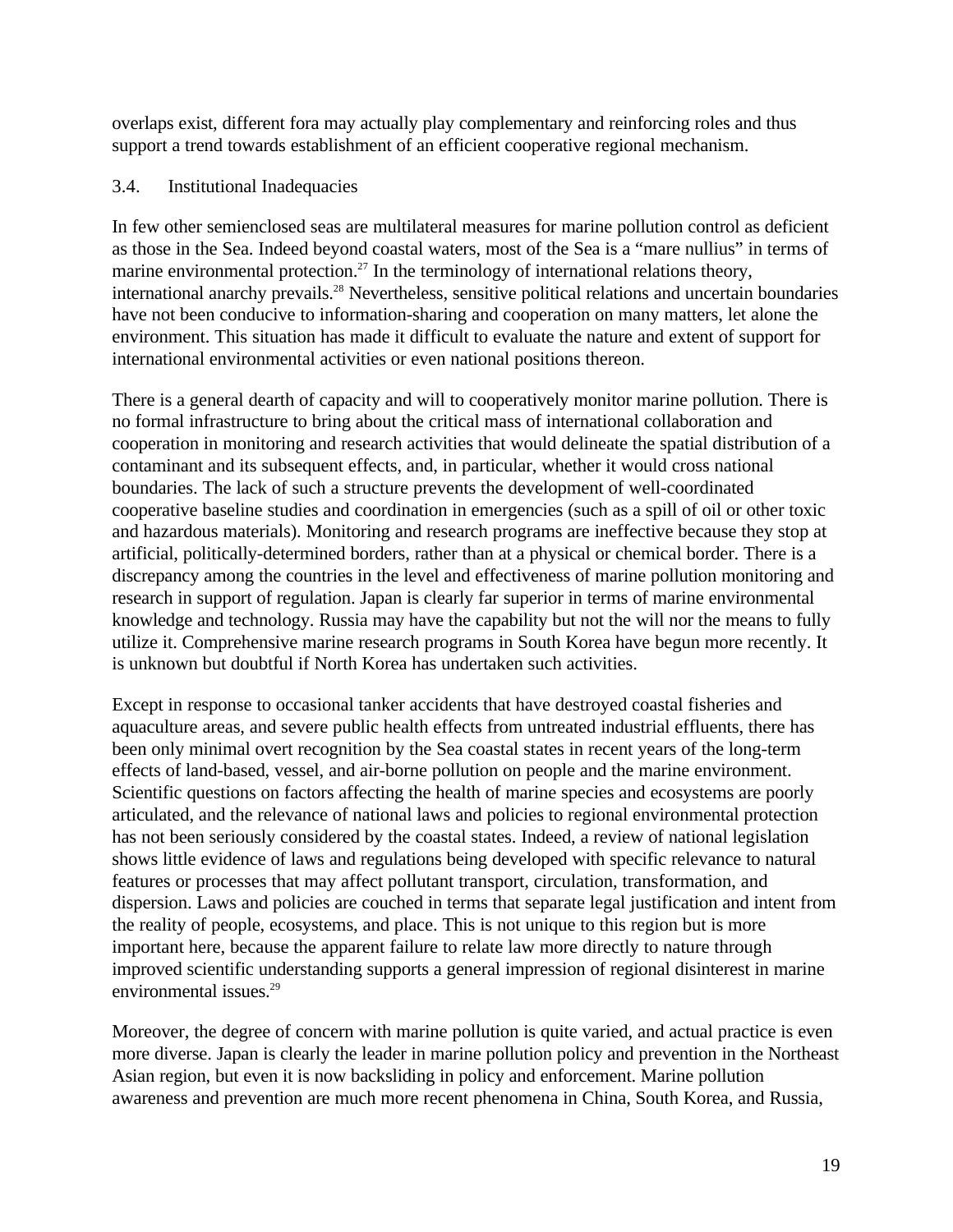overlaps exist, different fora may actually play complementary and reinforcing roles and thus support a trend towards establishment of an efficient cooperative regional mechanism.

## 3.4. Institutional Inadequacies

In few other semienclosed seas are multilateral measures for marine pollution control as deficient as those in the Sea. Indeed beyond coastal waters, most of the Sea is a "mare nullius" in terms of marine environmental protection.<sup>27</sup> In the terminology of international relations theory, international anarchy prevails.<sup>28</sup> Nevertheless, sensitive political relations and uncertain boundaries have not been conducive to information-sharing and cooperation on many matters, let alone the environment. This situation has made it difficult to evaluate the nature and extent of support for international environmental activities or even national positions thereon.

There is a general dearth of capacity and will to cooperatively monitor marine pollution. There is no formal infrastructure to bring about the critical mass of international collaboration and cooperation in monitoring and research activities that would delineate the spatial distribution of a contaminant and its subsequent effects, and, in particular, whether it would cross national boundaries. The lack of such a structure prevents the development of well-coordinated cooperative baseline studies and coordination in emergencies (such as a spill of oil or other toxic and hazardous materials). Monitoring and research programs are ineffective because they stop at artificial, politically-determined borders, rather than at a physical or chemical border. There is a discrepancy among the countries in the level and effectiveness of marine pollution monitoring and research in support of regulation. Japan is clearly far superior in terms of marine environmental knowledge and technology. Russia may have the capability but not the will nor the means to fully utilize it. Comprehensive marine research programs in South Korea have begun more recently. It is unknown but doubtful if North Korea has undertaken such activities.

Except in response to occasional tanker accidents that have destroyed coastal fisheries and aquaculture areas, and severe public health effects from untreated industrial effluents, there has been only minimal overt recognition by the Sea coastal states in recent years of the long-term effects of land-based, vessel, and air-borne pollution on people and the marine environment. Scientific questions on factors affecting the health of marine species and ecosystems are poorly articulated, and the relevance of national laws and policies to regional environmental protection has not been seriously considered by the coastal states. Indeed, a review of national legislation shows little evidence of laws and regulations being developed with specific relevance to natural features or processes that may affect pollutant transport, circulation, transformation, and dispersion. Laws and policies are couched in terms that separate legal justification and intent from the reality of people, ecosystems, and place. This is not unique to this region but is more important here, because the apparent failure to relate law more directly to nature through improved scientific understanding supports a general impression of regional disinterest in marine environmental issues.<sup>29</sup>

Moreover, the degree of concern with marine pollution is quite varied, and actual practice is even more diverse. Japan is clearly the leader in marine pollution policy and prevention in the Northeast Asian region, but even it is now backsliding in policy and enforcement. Marine pollution awareness and prevention are much more recent phenomena in China, South Korea, and Russia,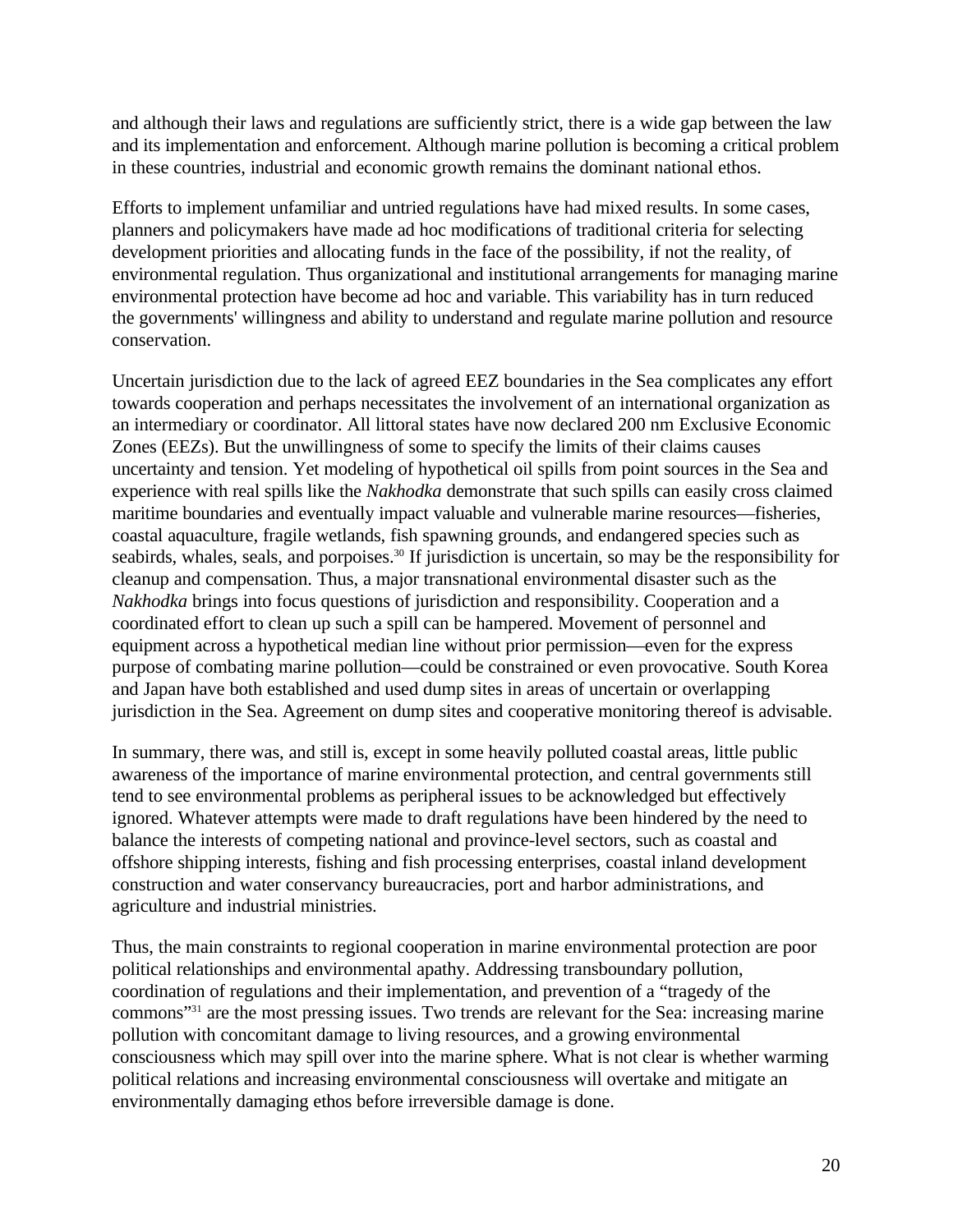and although their laws and regulations are sufficiently strict, there is a wide gap between the law and its implementation and enforcement. Although marine pollution is becoming a critical problem in these countries, industrial and economic growth remains the dominant national ethos.

Efforts to implement unfamiliar and untried regulations have had mixed results. In some cases, planners and policymakers have made ad hoc modifications of traditional criteria for selecting development priorities and allocating funds in the face of the possibility, if not the reality, of environmental regulation. Thus organizational and institutional arrangements for managing marine environmental protection have become ad hoc and variable. This variability has in turn reduced the governments' willingness and ability to understand and regulate marine pollution and resource conservation.

Uncertain jurisdiction due to the lack of agreed EEZ boundaries in the Sea complicates any effort towards cooperation and perhaps necessitates the involvement of an international organization as an intermediary or coordinator. All littoral states have now declared 200 nm Exclusive Economic Zones (EEZs). But the unwillingness of some to specify the limits of their claims causes uncertainty and tension. Yet modeling of hypothetical oil spills from point sources in the Sea and experience with real spills like the *Nakhodka* demonstrate that such spills can easily cross claimed maritime boundaries and eventually impact valuable and vulnerable marine resources—fisheries, coastal aquaculture, fragile wetlands, fish spawning grounds, and endangered species such as seabirds, whales, seals, and porpoises.<sup>30</sup> If jurisdiction is uncertain, so may be the responsibility for cleanup and compensation. Thus, a major transnational environmental disaster such as the *Nakhodka* brings into focus questions of jurisdiction and responsibility. Cooperation and a coordinated effort to clean up such a spill can be hampered. Movement of personnel and equipment across a hypothetical median line without prior permission—even for the express purpose of combating marine pollution—could be constrained or even provocative. South Korea and Japan have both established and used dump sites in areas of uncertain or overlapping jurisdiction in the Sea. Agreement on dump sites and cooperative monitoring thereof is advisable.

In summary, there was, and still is, except in some heavily polluted coastal areas, little public awareness of the importance of marine environmental protection, and central governments still tend to see environmental problems as peripheral issues to be acknowledged but effectively ignored. Whatever attempts were made to draft regulations have been hindered by the need to balance the interests of competing national and province-level sectors, such as coastal and offshore shipping interests, fishing and fish processing enterprises, coastal inland development construction and water conservancy bureaucracies, port and harbor administrations, and agriculture and industrial ministries.

Thus, the main constraints to regional cooperation in marine environmental protection are poor political relationships and environmental apathy. Addressing transboundary pollution, coordination of regulations and their implementation, and prevention of a "tragedy of the commons"<sup>31</sup> are the most pressing issues. Two trends are relevant for the Sea: increasing marine pollution with concomitant damage to living resources, and a growing environmental consciousness which may spill over into the marine sphere. What is not clear is whether warming political relations and increasing environmental consciousness will overtake and mitigate an environmentally damaging ethos before irreversible damage is done.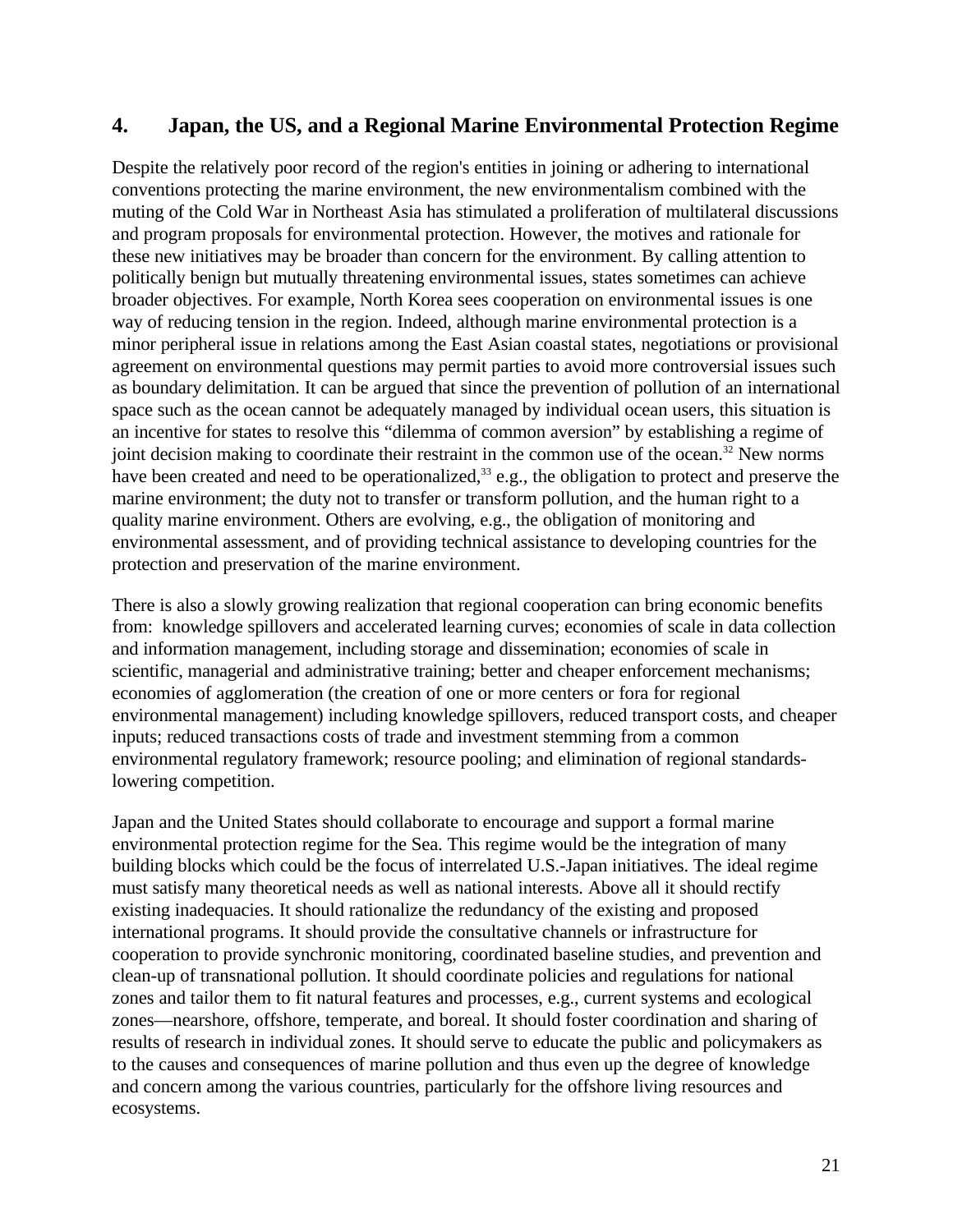## **4. Japan, the US, and a Regional Marine Environmental Protection Regime**

Despite the relatively poor record of the region's entities in joining or adhering to international conventions protecting the marine environment, the new environmentalism combined with the muting of the Cold War in Northeast Asia has stimulated a proliferation of multilateral discussions and program proposals for environmental protection. However, the motives and rationale for these new initiatives may be broader than concern for the environment. By calling attention to politically benign but mutually threatening environmental issues, states sometimes can achieve broader objectives. For example, North Korea sees cooperation on environmental issues is one way of reducing tension in the region. Indeed, although marine environmental protection is a minor peripheral issue in relations among the East Asian coastal states, negotiations or provisional agreement on environmental questions may permit parties to avoid more controversial issues such as boundary delimitation. It can be argued that since the prevention of pollution of an international space such as the ocean cannot be adequately managed by individual ocean users, this situation is an incentive for states to resolve this "dilemma of common aversion" by establishing a regime of joint decision making to coordinate their restraint in the common use of the ocean.<sup>32</sup> New norms have been created and need to be operationalized,<sup>33</sup> e.g., the obligation to protect and preserve the marine environment; the duty not to transfer or transform pollution, and the human right to a quality marine environment. Others are evolving, e.g., the obligation of monitoring and environmental assessment, and of providing technical assistance to developing countries for the protection and preservation of the marine environment.

There is also a slowly growing realization that regional cooperation can bring economic benefits from: knowledge spillovers and accelerated learning curves; economies of scale in data collection and information management, including storage and dissemination; economies of scale in scientific, managerial and administrative training; better and cheaper enforcement mechanisms; economies of agglomeration (the creation of one or more centers or fora for regional environmental management) including knowledge spillovers, reduced transport costs, and cheaper inputs; reduced transactions costs of trade and investment stemming from a common environmental regulatory framework; resource pooling; and elimination of regional standardslowering competition.

Japan and the United States should collaborate to encourage and support a formal marine environmental protection regime for the Sea. This regime would be the integration of many building blocks which could be the focus of interrelated U.S.-Japan initiatives. The ideal regime must satisfy many theoretical needs as well as national interests. Above all it should rectify existing inadequacies. It should rationalize the redundancy of the existing and proposed international programs. It should provide the consultative channels or infrastructure for cooperation to provide synchronic monitoring, coordinated baseline studies, and prevention and clean-up of transnational pollution. It should coordinate policies and regulations for national zones and tailor them to fit natural features and processes, e.g., current systems and ecological zones—nearshore, offshore, temperate, and boreal. It should foster coordination and sharing of results of research in individual zones. It should serve to educate the public and policymakers as to the causes and consequences of marine pollution and thus even up the degree of knowledge and concern among the various countries, particularly for the offshore living resources and ecosystems.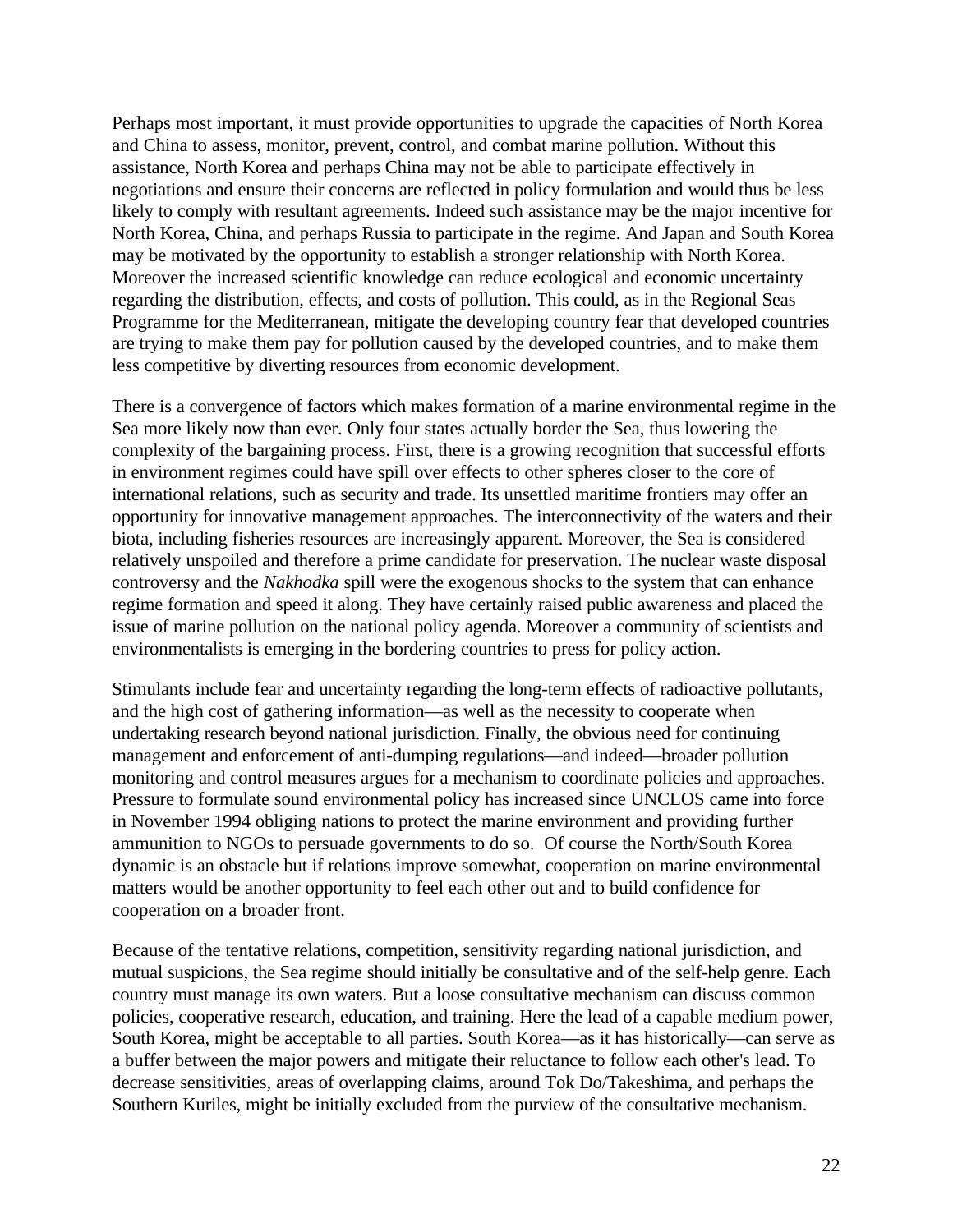Perhaps most important, it must provide opportunities to upgrade the capacities of North Korea and China to assess, monitor, prevent, control, and combat marine pollution. Without this assistance, North Korea and perhaps China may not be able to participate effectively in negotiations and ensure their concerns are reflected in policy formulation and would thus be less likely to comply with resultant agreements. Indeed such assistance may be the major incentive for North Korea, China, and perhaps Russia to participate in the regime. And Japan and South Korea may be motivated by the opportunity to establish a stronger relationship with North Korea. Moreover the increased scientific knowledge can reduce ecological and economic uncertainty regarding the distribution, effects, and costs of pollution. This could, as in the Regional Seas Programme for the Mediterranean, mitigate the developing country fear that developed countries are trying to make them pay for pollution caused by the developed countries, and to make them less competitive by diverting resources from economic development.

There is a convergence of factors which makes formation of a marine environmental regime in the Sea more likely now than ever. Only four states actually border the Sea, thus lowering the complexity of the bargaining process. First, there is a growing recognition that successful efforts in environment regimes could have spill over effects to other spheres closer to the core of international relations, such as security and trade. Its unsettled maritime frontiers may offer an opportunity for innovative management approaches. The interconnectivity of the waters and their biota, including fisheries resources are increasingly apparent. Moreover, the Sea is considered relatively unspoiled and therefore a prime candidate for preservation. The nuclear waste disposal controversy and the *Nakhodka* spill were the exogenous shocks to the system that can enhance regime formation and speed it along. They have certainly raised public awareness and placed the issue of marine pollution on the national policy agenda. Moreover a community of scientists and environmentalists is emerging in the bordering countries to press for policy action.

Stimulants include fear and uncertainty regarding the long-term effects of radioactive pollutants, and the high cost of gathering information—as well as the necessity to cooperate when undertaking research beyond national jurisdiction. Finally, the obvious need for continuing management and enforcement of anti-dumping regulations—and indeed—broader pollution monitoring and control measures argues for a mechanism to coordinate policies and approaches. Pressure to formulate sound environmental policy has increased since UNCLOS came into force in November 1994 obliging nations to protect the marine environment and providing further ammunition to NGOs to persuade governments to do so. Of course the North/South Korea dynamic is an obstacle but if relations improve somewhat, cooperation on marine environmental matters would be another opportunity to feel each other out and to build confidence for cooperation on a broader front.

Because of the tentative relations, competition, sensitivity regarding national jurisdiction, and mutual suspicions, the Sea regime should initially be consultative and of the self-help genre. Each country must manage its own waters. But a loose consultative mechanism can discuss common policies, cooperative research, education, and training. Here the lead of a capable medium power, South Korea, might be acceptable to all parties. South Korea—as it has historically—can serve as a buffer between the major powers and mitigate their reluctance to follow each other's lead. To decrease sensitivities, areas of overlapping claims, around Tok Do/Takeshima, and perhaps the Southern Kuriles, might be initially excluded from the purview of the consultative mechanism.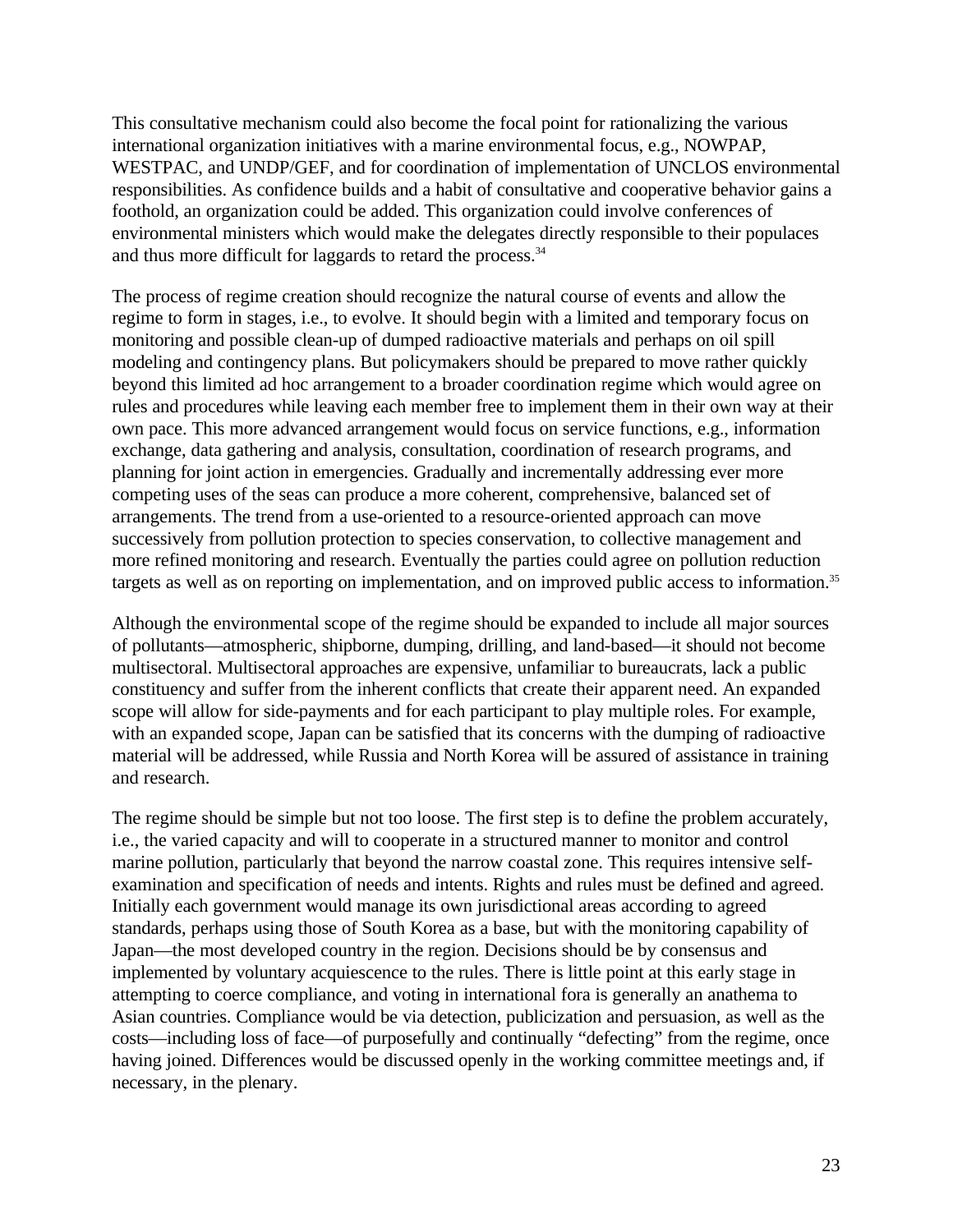This consultative mechanism could also become the focal point for rationalizing the various international organization initiatives with a marine environmental focus, e.g., NOWPAP, WESTPAC, and UNDP/GEF, and for coordination of implementation of UNCLOS environmental responsibilities. As confidence builds and a habit of consultative and cooperative behavior gains a foothold, an organization could be added. This organization could involve conferences of environmental ministers which would make the delegates directly responsible to their populaces and thus more difficult for laggards to retard the process.<sup>34</sup>

The process of regime creation should recognize the natural course of events and allow the regime to form in stages, i.e., to evolve. It should begin with a limited and temporary focus on monitoring and possible clean-up of dumped radioactive materials and perhaps on oil spill modeling and contingency plans. But policymakers should be prepared to move rather quickly beyond this limited ad hoc arrangement to a broader coordination regime which would agree on rules and procedures while leaving each member free to implement them in their own way at their own pace. This more advanced arrangement would focus on service functions, e.g., information exchange, data gathering and analysis, consultation, coordination of research programs, and planning for joint action in emergencies. Gradually and incrementally addressing ever more competing uses of the seas can produce a more coherent, comprehensive, balanced set of arrangements. The trend from a use-oriented to a resource-oriented approach can move successively from pollution protection to species conservation, to collective management and more refined monitoring and research. Eventually the parties could agree on pollution reduction targets as well as on reporting on implementation, and on improved public access to information.<sup>35</sup>

Although the environmental scope of the regime should be expanded to include all major sources of pollutants—atmospheric, shipborne, dumping, drilling, and land-based—it should not become multisectoral. Multisectoral approaches are expensive, unfamiliar to bureaucrats, lack a public constituency and suffer from the inherent conflicts that create their apparent need. An expanded scope will allow for side-payments and for each participant to play multiple roles. For example, with an expanded scope, Japan can be satisfied that its concerns with the dumping of radioactive material will be addressed, while Russia and North Korea will be assured of assistance in training and research.

The regime should be simple but not too loose. The first step is to define the problem accurately, i.e., the varied capacity and will to cooperate in a structured manner to monitor and control marine pollution, particularly that beyond the narrow coastal zone. This requires intensive selfexamination and specification of needs and intents. Rights and rules must be defined and agreed. Initially each government would manage its own jurisdictional areas according to agreed standards, perhaps using those of South Korea as a base, but with the monitoring capability of Japan—the most developed country in the region. Decisions should be by consensus and implemented by voluntary acquiescence to the rules. There is little point at this early stage in attempting to coerce compliance, and voting in international fora is generally an anathema to Asian countries. Compliance would be via detection, publicization and persuasion, as well as the costs—including loss of face—of purposefully and continually "defecting" from the regime, once having joined. Differences would be discussed openly in the working committee meetings and, if necessary, in the plenary.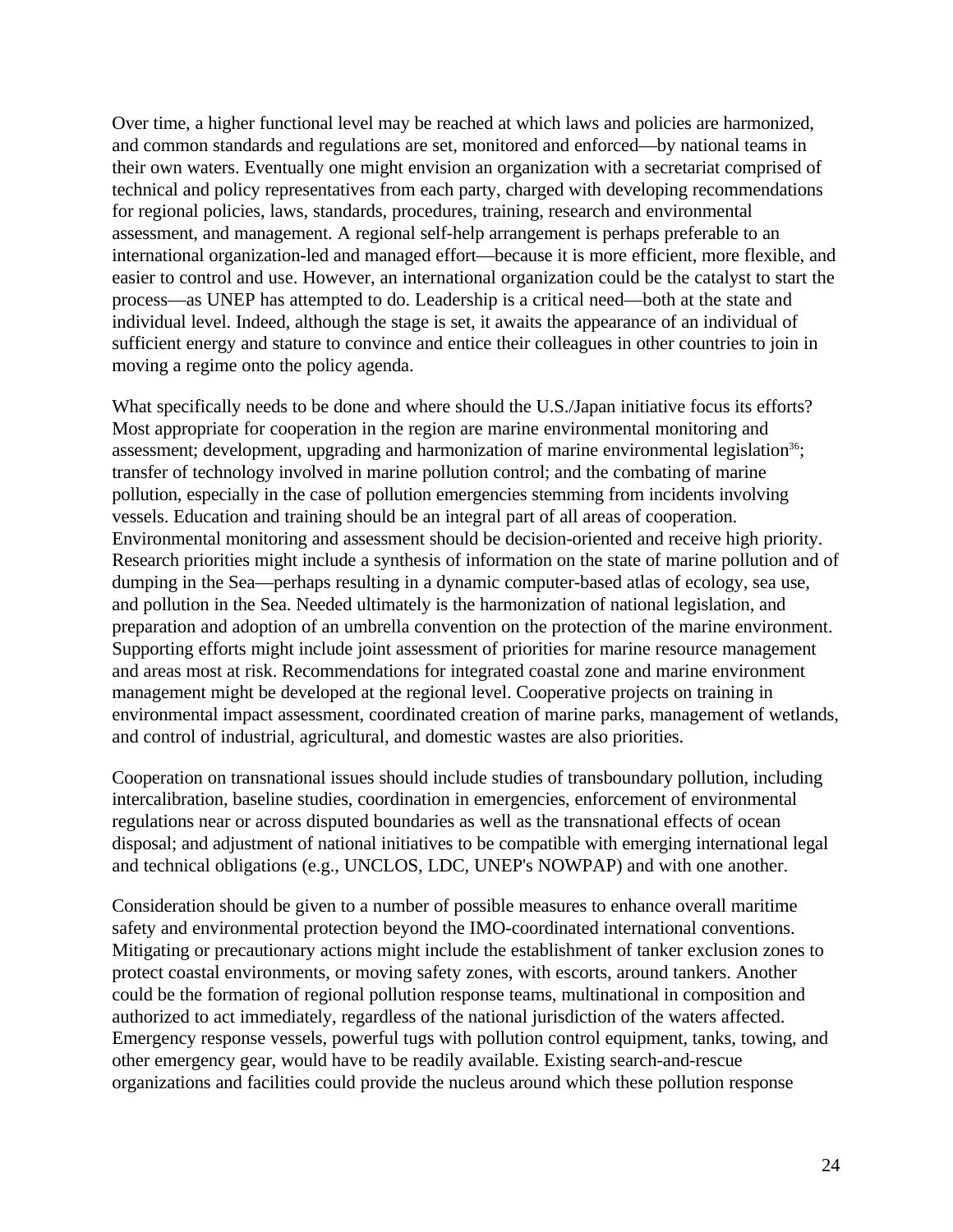Over time, a higher functional level may be reached at which laws and policies are harmonized, and common standards and regulations are set, monitored and enforced—by national teams in their own waters. Eventually one might envision an organization with a secretariat comprised of technical and policy representatives from each party, charged with developing recommendations for regional policies, laws, standards, procedures, training, research and environmental assessment, and management. A regional self-help arrangement is perhaps preferable to an international organization-led and managed effort—because it is more efficient, more flexible, and easier to control and use. However, an international organization could be the catalyst to start the process—as UNEP has attempted to do. Leadership is a critical need—both at the state and individual level. Indeed, although the stage is set, it awaits the appearance of an individual of sufficient energy and stature to convince and entice their colleagues in other countries to join in moving a regime onto the policy agenda.

What specifically needs to be done and where should the U.S./Japan initiative focus its efforts? Most appropriate for cooperation in the region are marine environmental monitoring and assessment; development, upgrading and harmonization of marine environmental legislation<sup>36</sup>; transfer of technology involved in marine pollution control; and the combating of marine pollution, especially in the case of pollution emergencies stemming from incidents involving vessels. Education and training should be an integral part of all areas of cooperation. Environmental monitoring and assessment should be decision-oriented and receive high priority. Research priorities might include a synthesis of information on the state of marine pollution and of dumping in the Sea—perhaps resulting in a dynamic computer-based atlas of ecology, sea use, and pollution in the Sea. Needed ultimately is the harmonization of national legislation, and preparation and adoption of an umbrella convention on the protection of the marine environment. Supporting efforts might include joint assessment of priorities for marine resource management and areas most at risk. Recommendations for integrated coastal zone and marine environment management might be developed at the regional level. Cooperative projects on training in environmental impact assessment, coordinated creation of marine parks, management of wetlands, and control of industrial, agricultural, and domestic wastes are also priorities.

Cooperation on transnational issues should include studies of transboundary pollution, including intercalibration, baseline studies, coordination in emergencies, enforcement of environmental regulations near or across disputed boundaries as well as the transnational effects of ocean disposal; and adjustment of national initiatives to be compatible with emerging international legal and technical obligations (e.g., UNCLOS, LDC, UNEP's NOWPAP) and with one another.

Consideration should be given to a number of possible measures to enhance overall maritime safety and environmental protection beyond the IMO-coordinated international conventions. Mitigating or precautionary actions might include the establishment of tanker exclusion zones to protect coastal environments, or moving safety zones, with escorts, around tankers. Another could be the formation of regional pollution response teams, multinational in composition and authorized to act immediately, regardless of the national jurisdiction of the waters affected. Emergency response vessels, powerful tugs with pollution control equipment, tanks, towing, and other emergency gear, would have to be readily available. Existing search-and-rescue organizations and facilities could provide the nucleus around which these pollution response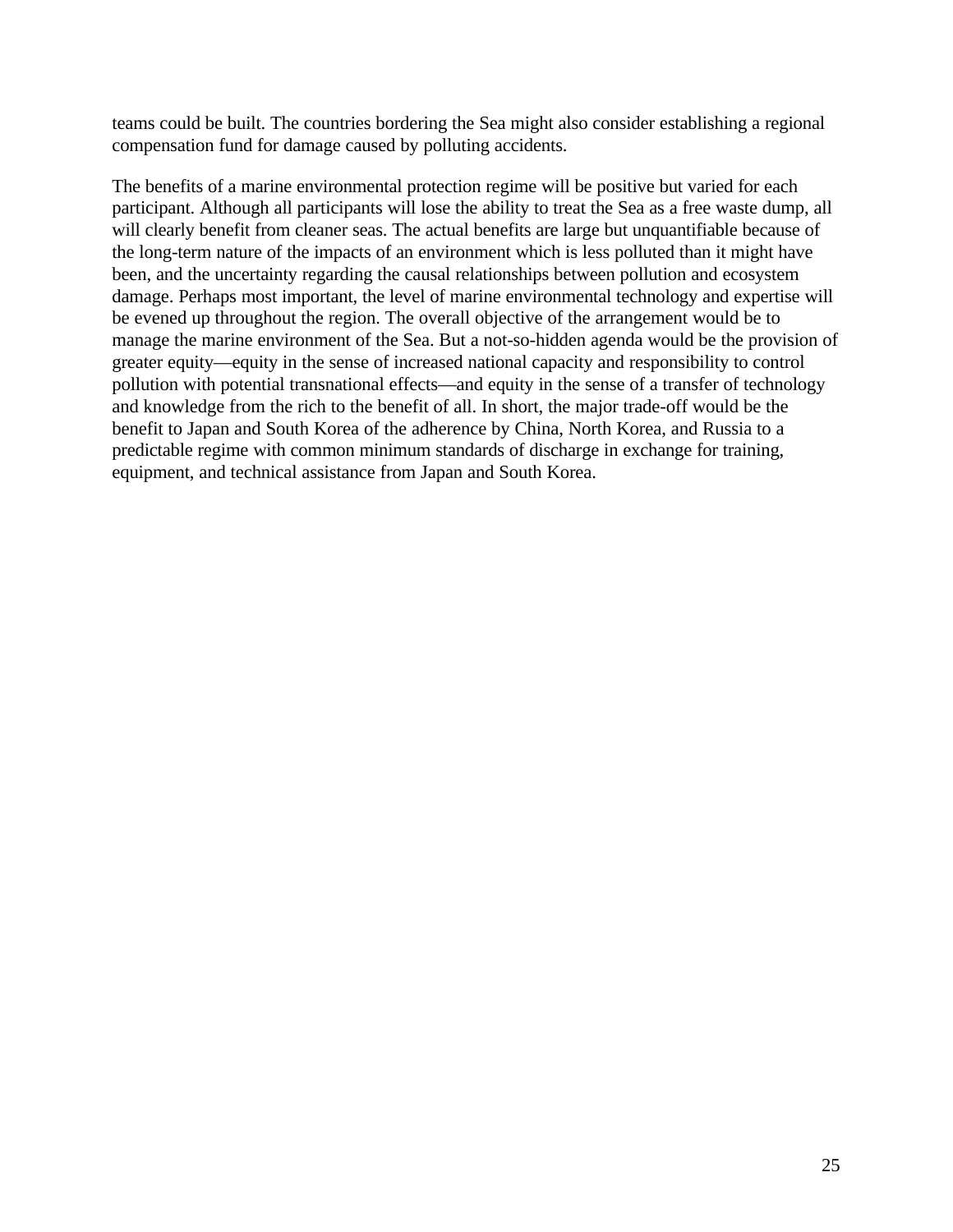teams could be built. The countries bordering the Sea might also consider establishing a regional compensation fund for damage caused by polluting accidents.

The benefits of a marine environmental protection regime will be positive but varied for each participant. Although all participants will lose the ability to treat the Sea as a free waste dump, all will clearly benefit from cleaner seas. The actual benefits are large but unquantifiable because of the long-term nature of the impacts of an environment which is less polluted than it might have been, and the uncertainty regarding the causal relationships between pollution and ecosystem damage. Perhaps most important, the level of marine environmental technology and expertise will be evened up throughout the region. The overall objective of the arrangement would be to manage the marine environment of the Sea. But a not-so-hidden agenda would be the provision of greater equity—equity in the sense of increased national capacity and responsibility to control pollution with potential transnational effects—and equity in the sense of a transfer of technology and knowledge from the rich to the benefit of all. In short, the major trade-off would be the benefit to Japan and South Korea of the adherence by China, North Korea, and Russia to a predictable regime with common minimum standards of discharge in exchange for training, equipment, and technical assistance from Japan and South Korea.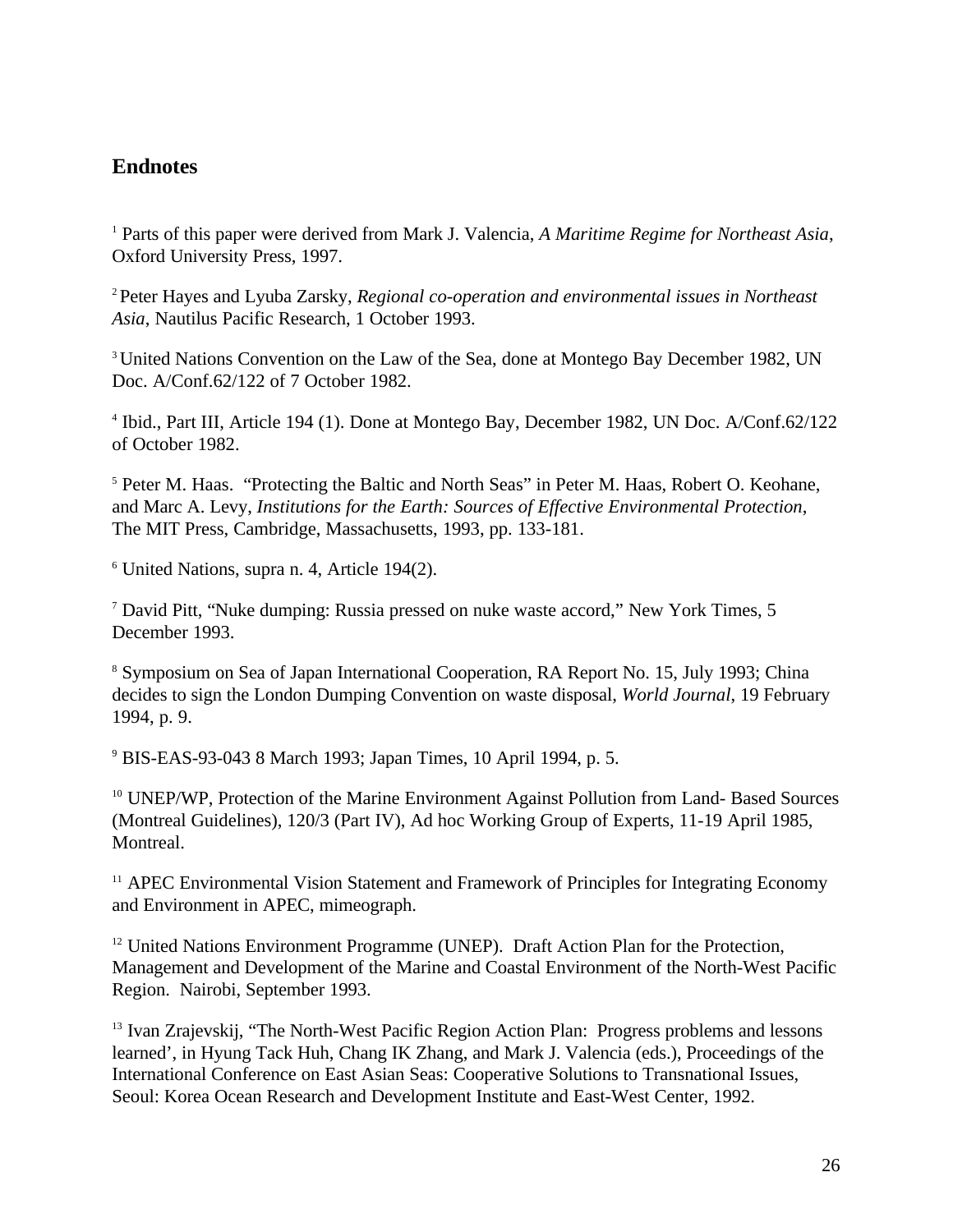## **Endnotes**

<sup>1</sup> Parts of this paper were derived from Mark J. Valencia, *A Maritime Regime for Northeast Asia*, Oxford University Press, 1997.

<sup>2</sup> Peter Hayes and Lyuba Zarsky, *Regional co-operation and environmental issues in Northeast Asia*, Nautilus Pacific Research, 1 October 1993.

<sup>3</sup> United Nations Convention on the Law of the Sea, done at Montego Bay December 1982, UN Doc. A/Conf.62/122 of 7 October 1982.

4 Ibid., Part III, Article 194 (1). Done at Montego Bay, December 1982, UN Doc. A/Conf.62/122 of October 1982.

<sup>5</sup> Peter M. Haas. "Protecting the Baltic and North Seas" in Peter M. Haas, Robert O. Keohane, and Marc A. Levy, *Institutions for the Earth: Sources of Effective Environmental Protection*, The MIT Press, Cambridge, Massachusetts, 1993, pp. 133-181.

<sup>6</sup> United Nations, supra n. 4, Article 194(2).

<sup>7</sup> David Pitt, "Nuke dumping: Russia pressed on nuke waste accord," New York Times, 5 December 1993.

<sup>8</sup> Symposium on Sea of Japan International Cooperation, RA Report No. 15, July 1993; China decides to sign the London Dumping Convention on waste disposal, *World Journal*, 19 February 1994, p. 9.

<sup>9</sup> BIS-EAS-93-043 8 March 1993; Japan Times, 10 April 1994, p. 5.

<sup>10</sup> UNEP/WP, Protection of the Marine Environment Against Pollution from Land- Based Sources (Montreal Guidelines), 120/3 (Part IV), Ad hoc Working Group of Experts, 11-19 April 1985, Montreal.

<sup>11</sup> APEC Environmental Vision Statement and Framework of Principles for Integrating Economy and Environment in APEC, mimeograph.

<sup>12</sup> United Nations Environment Programme (UNEP). Draft Action Plan for the Protection, Management and Development of the Marine and Coastal Environment of the North-West Pacific Region. Nairobi, September 1993.

<sup>13</sup> Ivan Zrajevskij, "The North-West Pacific Region Action Plan: Progress problems and lessons learned', in Hyung Tack Huh, Chang IK Zhang, and Mark J. Valencia (eds.), Proceedings of the International Conference on East Asian Seas: Cooperative Solutions to Transnational Issues, Seoul: Korea Ocean Research and Development Institute and East-West Center, 1992.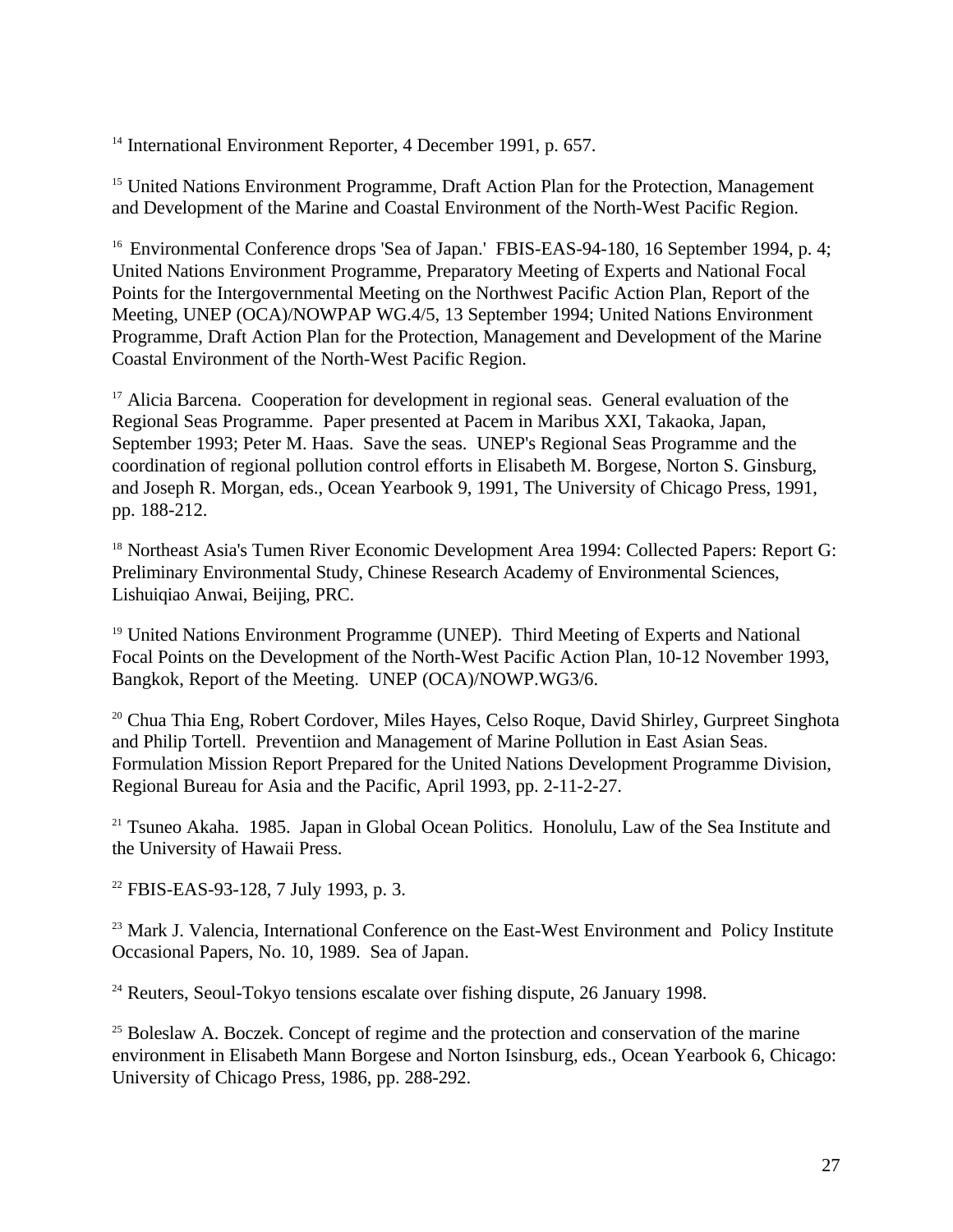<sup>14</sup> International Environment Reporter, 4 December 1991, p. 657.

<sup>15</sup> United Nations Environment Programme, Draft Action Plan for the Protection, Management and Development of the Marine and Coastal Environment of the North-West Pacific Region.

<sup>16</sup> Environmental Conference drops 'Sea of Japan.' FBIS-EAS-94-180, 16 September 1994, p. 4; United Nations Environment Programme, Preparatory Meeting of Experts and National Focal Points for the Intergovernmental Meeting on the Northwest Pacific Action Plan, Report of the Meeting, UNEP (OCA)/NOWPAP WG.4/5, 13 September 1994; United Nations Environment Programme, Draft Action Plan for the Protection, Management and Development of the Marine Coastal Environment of the North-West Pacific Region.

<sup>17</sup> Alicia Barcena. Cooperation for development in regional seas. General evaluation of the Regional Seas Programme. Paper presented at Pacem in Maribus XXI, Takaoka, Japan, September 1993; Peter M. Haas. Save the seas. UNEP's Regional Seas Programme and the coordination of regional pollution control efforts in Elisabeth M. Borgese, Norton S. Ginsburg, and Joseph R. Morgan, eds., Ocean Yearbook 9, 1991, The University of Chicago Press, 1991, pp. 188-212.

<sup>18</sup> Northeast Asia's Tumen River Economic Development Area 1994: Collected Papers: Report G: Preliminary Environmental Study, Chinese Research Academy of Environmental Sciences, Lishuiqiao Anwai, Beijing, PRC.

<sup>19</sup> United Nations Environment Programme (UNEP). Third Meeting of Experts and National Focal Points on the Development of the North-West Pacific Action Plan, 10-12 November 1993, Bangkok, Report of the Meeting. UNEP (OCA)/NOWP.WG3/6.

<sup>20</sup> Chua Thia Eng, Robert Cordover, Miles Hayes, Celso Roque, David Shirley, Gurpreet Singhota and Philip Tortell. Preventiion and Management of Marine Pollution in East Asian Seas. Formulation Mission Report Prepared for the United Nations Development Programme Division, Regional Bureau for Asia and the Pacific, April 1993, pp. 2-11-2-27.

<sup>21</sup> Tsuneo Akaha. 1985. Japan in Global Ocean Politics. Honolulu, Law of the Sea Institute and the University of Hawaii Press.

<sup>22</sup> FBIS-EAS-93-128, 7 July 1993, p. 3.

<sup>23</sup> Mark J. Valencia, International Conference on the East-West Environment and Policy Institute Occasional Papers, No. 10, 1989. Sea of Japan.

 $24$  Reuters, Seoul-Tokyo tensions escalate over fishing dispute, 26 January 1998.

<sup>25</sup> Boleslaw A. Boczek. Concept of regime and the protection and conservation of the marine environment in Elisabeth Mann Borgese and Norton Isinsburg, eds., Ocean Yearbook 6, Chicago: University of Chicago Press, 1986, pp. 288-292.